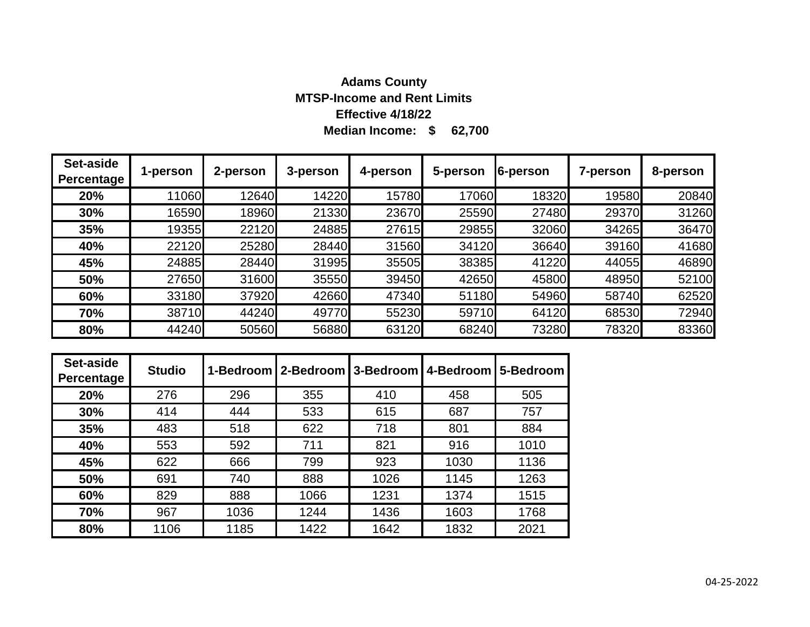# **Median Income: \$ 62,700 Adams County MTSP-Income and Rent Limits Effective 4/18/22**

| Set-aside<br><b>Percentage</b> | 1-person | 2-person | 3-person | 4-person | 5-person | 6-person | 7-person | 8-person |
|--------------------------------|----------|----------|----------|----------|----------|----------|----------|----------|
| 20%                            | 11060    | 12640    | 14220    | 15780    | 17060    | 18320    | 19580    | 20840    |
| 30%                            | 16590    | 18960    | 21330    | 23670    | 25590    | 27480    | 29370    | 31260    |
| 35%                            | 19355    | 22120    | 24885    | 27615    | 29855    | 32060    | 34265    | 36470    |
| 40%                            | 22120    | 25280    | 28440    | 31560    | 34120    | 36640    | 39160    | 41680    |
| 45%                            | 24885    | 28440    | 31995    | 35505    | 38385    | 41220    | 44055    | 46890    |
| 50%                            | 27650    | 31600    | 35550    | 39450    | 42650    | 45800    | 48950    | 52100    |
| 60%                            | 33180    | 37920    | 42660    | 47340    | 51180    | 54960    | 58740    | 62520    |
| 70%                            | 38710    | 44240    | 49770    | 55230    | 59710    | 64120    | 68530    | 72940    |
| 80%                            | 44240    | 50560    | 56880    | 63120    | 68240    | 73280    | 78320    | 83360    |

| Set-aside<br>Percentage | <b>Studio</b> |      | 1-Bedroom   2-Bedroom   3-Bedroom   4-Bedroom |      |      | 5-Bedroom |
|-------------------------|---------------|------|-----------------------------------------------|------|------|-----------|
| 20%                     | 276           | 296  | 355                                           | 410  | 458  | 505       |
| 30%                     | 414           | 444  | 533                                           | 615  | 687  | 757       |
| 35%                     | 483           | 518  | 622                                           | 718  | 801  | 884       |
| 40%                     | 553           | 592  | 711                                           | 821  | 916  | 1010      |
| 45%                     | 622           | 666  | 799                                           | 923  | 1030 | 1136      |
| 50%                     | 691           | 740  | 888                                           | 1026 | 1145 | 1263      |
| 60%                     | 829           | 888  | 1066                                          | 1231 | 1374 | 1515      |
| 70%                     | 967           | 1036 | 1244                                          | 1436 | 1603 | 1768      |
| 80%                     | 1106          | 1185 | 1422                                          | 1642 | 1832 | 2021      |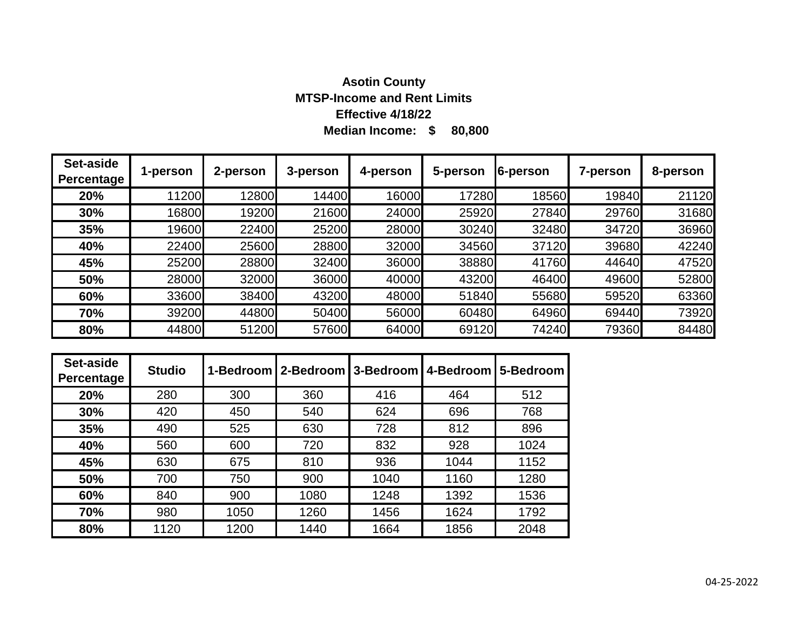# **Median Income: \$ 80,800 Asotin County MTSP-Income and Rent Limits Effective 4/18/22**

| Set-aside<br><b>Percentage</b> | 1-person | 2-person | 3-person | 4-person | 5-person | 6-person | <b>7-person</b> | 8-person |
|--------------------------------|----------|----------|----------|----------|----------|----------|-----------------|----------|
| 20%                            | 11200    | 12800    | 14400    | 16000    | 17280    | 18560    | 19840           | 21120    |
| 30%                            | 16800    | 19200    | 21600    | 24000    | 25920    | 27840    | 29760           | 31680    |
| 35%                            | 19600    | 22400    | 25200    | 28000    | 30240    | 32480    | 34720           | 36960    |
| 40%                            | 22400    | 25600    | 28800    | 32000    | 34560    | 37120    | 39680           | 42240    |
| 45%                            | 25200    | 28800    | 32400    | 36000    | 38880    | 41760    | 44640           | 47520    |
| 50%                            | 28000    | 32000    | 36000    | 40000    | 43200    | 46400    | 49600           | 52800    |
| 60%                            | 33600    | 38400    | 43200    | 48000    | 51840    | 55680    | 59520           | 63360    |
| 70%                            | 39200    | 44800    | 50400    | 56000    | 60480    | 64960    | 69440           | 73920    |
| 80%                            | 44800    | 51200    | 57600    | 64000    | 69120    | 74240    | 79360           | 84480    |

| Set-aside<br>Percentage | <b>Studio</b> |      | 1-Bedroom   2-Bedroom   3-Bedroom   4-Bedroom |      |      | 5-Bedroom |
|-------------------------|---------------|------|-----------------------------------------------|------|------|-----------|
| 20%                     | 280           | 300  | 360                                           | 416  | 464  | 512       |
| 30%                     | 420           | 450  | 540                                           | 624  | 696  | 768       |
| 35%                     | 490           | 525  | 630                                           | 728  | 812  | 896       |
| 40%                     | 560           | 600  | 720                                           | 832  | 928  | 1024      |
| 45%                     | 630           | 675  | 810                                           | 936  | 1044 | 1152      |
| 50%                     | 700           | 750  | 900                                           | 1040 | 1160 | 1280      |
| 60%                     | 840           | 900  | 1080                                          | 1248 | 1392 | 1536      |
| 70%                     | 980           | 1050 | 1260                                          | 1456 | 1624 | 1792      |
| 80%                     | 1120          | 1200 | 1440                                          | 1664 | 1856 | 2048      |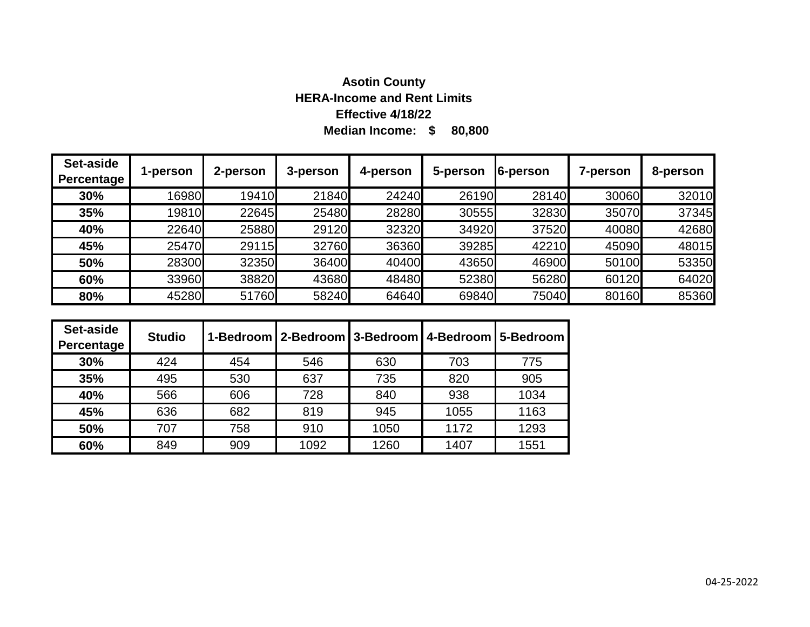# **Median Income: \$ 80,800 Asotin County HERA-Income and Rent Limits Effective 4/18/22**

| Set-aside<br>Percentage | 1-person | 2-person | 3-person | 4-person | 5-person | 6-person | 7-person | 8-person |
|-------------------------|----------|----------|----------|----------|----------|----------|----------|----------|
| 30%                     | 16980    | 19410    | 21840    | 24240    | 26190    | 28140    | 30060    | 32010    |
| 35%                     | 19810    | 22645    | 25480    | 28280    | 30555    | 32830    | 35070    | 37345    |
| 40%                     | 22640    | 25880    | 29120    | 32320    | 34920    | 37520    | 40080    | 42680    |
| 45%                     | 25470    | 29115    | 32760    | 36360    | 39285    | 42210    | 45090    | 48015    |
| 50%                     | 28300    | 32350    | 36400    | 40400    | 43650    | 46900    | 50100    | 53350    |
| 60%                     | 33960    | 38820    | 43680    | 48480    | 52380    | 56280    | 60120    | 64020    |
| 80%                     | 45280    | 51760    | 58240    | 64640    | 69840    | 75040    | 80160    | 85360    |

| Set-aside<br>Percentage | <b>Studio</b> |     |      |      |      | 1-Bedroom   2-Bedroom   3-Bedroom   4-Bedroom   5-Bedroom |
|-------------------------|---------------|-----|------|------|------|-----------------------------------------------------------|
| 30%                     | 424           | 454 | 546  | 630  | 703  | 775                                                       |
| 35%                     | 495           | 530 | 637  | 735  | 820  | 905                                                       |
| 40%                     | 566           | 606 | 728  | 840  | 938  | 1034                                                      |
| 45%                     | 636           | 682 | 819  | 945  | 1055 | 1163                                                      |
| 50%                     | 707           | 758 | 910  | 1050 | 1172 | 1293                                                      |
| 60%                     | 849           | 909 | 1092 | 1260 | 1407 | 1551                                                      |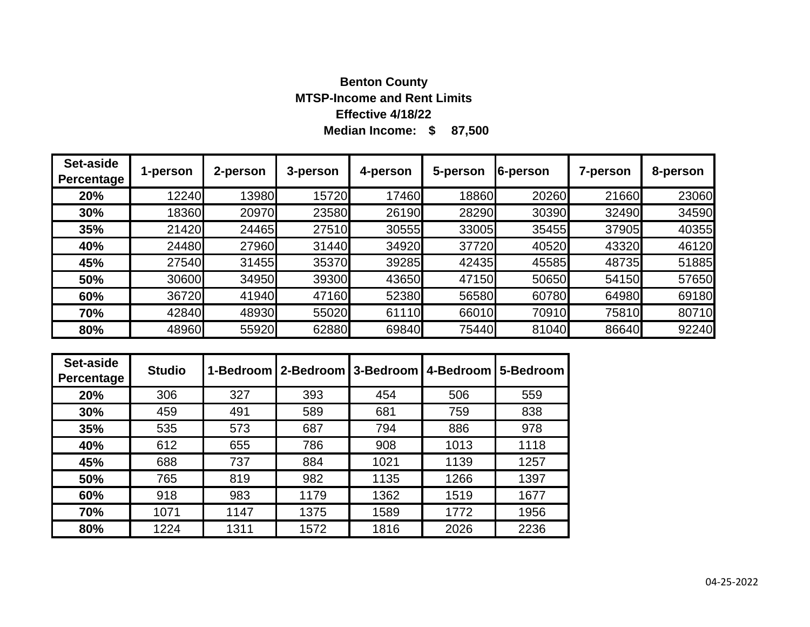# **Median Income: \$ 87,500 Benton County MTSP-Income and Rent Limits Effective 4/18/22**

| Set-aside<br>Percentage | 1-person | 2-person | 3-person | 4-person | 5-person | 6-person | 7-person | 8-person |
|-------------------------|----------|----------|----------|----------|----------|----------|----------|----------|
| 20%                     | 12240    | 13980    | 15720    | 17460    | 18860    | 20260    | 21660    | 23060    |
| 30%                     | 18360    | 20970    | 23580    | 26190    | 28290    | 30390    | 32490    | 34590    |
| 35%                     | 21420    | 24465    | 27510    | 30555    | 33005    | 35455    | 37905    | 40355    |
| 40%                     | 24480    | 27960    | 31440    | 34920    | 37720    | 40520    | 43320    | 46120    |
| 45%                     | 27540    | 31455    | 35370    | 39285    | 42435    | 45585    | 48735    | 51885    |
| 50%                     | 30600    | 34950    | 39300    | 43650    | 47150    | 50650    | 54150    | 57650    |
| 60%                     | 36720    | 41940    | 47160    | 52380    | 56580    | 60780    | 64980    | 69180    |
| 70%                     | 42840    | 48930    | 55020    | 61110    | 66010    | 70910    | 75810    | 80710    |
| 80%                     | 48960    | 55920    | 62880    | 69840    | 75440    | 81040    | 86640    | 92240    |

| Set-aside<br>Percentage | <b>Studio</b> |      | 1-Bedroom   2-Bedroom   3-Bedroom   4-Bedroom |      |      | 5-Bedroom |
|-------------------------|---------------|------|-----------------------------------------------|------|------|-----------|
| 20%                     | 306           | 327  | 393                                           | 454  | 506  | 559       |
| 30%                     | 459           | 491  | 589                                           | 681  | 759  | 838       |
| 35%                     | 535           | 573  | 687                                           | 794  | 886  | 978       |
| 40%                     | 612           | 655  | 786                                           | 908  | 1013 | 1118      |
| 45%                     | 688           | 737  | 884                                           | 1021 | 1139 | 1257      |
| 50%                     | 765           | 819  | 982                                           | 1135 | 1266 | 1397      |
| 60%                     | 918           | 983  | 1179                                          | 1362 | 1519 | 1677      |
| 70%                     | 1071          | 1147 | 1375                                          | 1589 | 1772 | 1956      |
| 80%                     | 1224          | 1311 | 1572                                          | 1816 | 2026 | 2236      |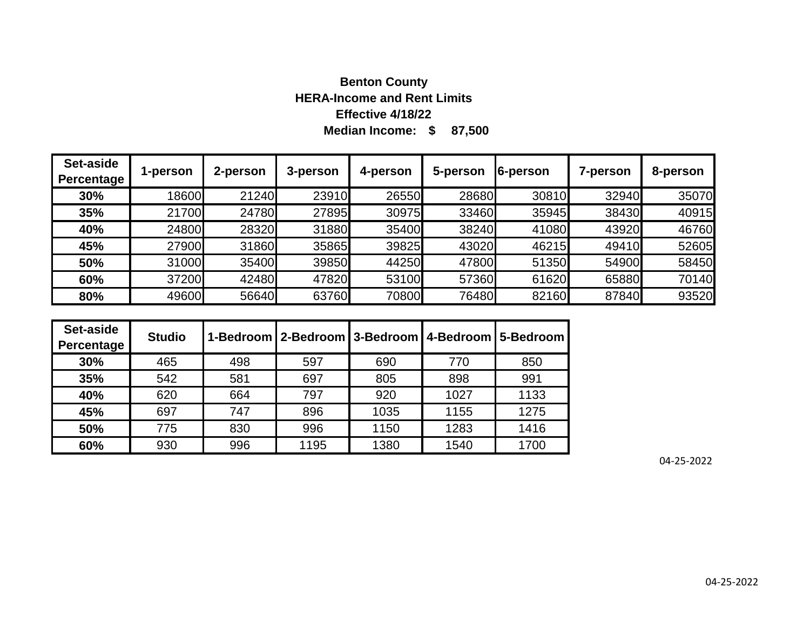# **Median Income: \$ 87,500 Benton County HERA-Income and Rent Limits Effective 4/18/22**

| Set-aside<br>Percentage | 1-person | 2-person | 3-person | 4-person | 5-person | 6-person | 7-person | 8-person |
|-------------------------|----------|----------|----------|----------|----------|----------|----------|----------|
| 30%                     | 18600    | 21240    | 23910    | 26550    | 28680    | 30810    | 32940    | 35070    |
| 35%                     | 21700    | 24780    | 27895    | 30975    | 33460    | 35945    | 38430    | 40915    |
| 40%                     | 24800    | 28320    | 31880    | 35400    | 38240    | 41080    | 43920    | 46760    |
| 45%                     | 27900    | 31860    | 35865    | 39825    | 43020    | 46215    | 49410    | 52605    |
| 50%                     | 31000    | 35400    | 39850    | 44250    | 47800    | 51350    | 54900    | 58450    |
| 60%                     | 37200    | 42480    | 47820    | 53100    | 57360    | 61620    | 65880    | 70140    |
| 80%                     | 49600    | 56640    | 63760    | 70800    | 76480    | 82160    | 87840    | 93520    |

| Set-aside<br>Percentage | <b>Studio</b> |     | 1-Bedroom   2-Bedroom   3-Bedroom   4-Bedroom   5-Bedroom |      |      |      |
|-------------------------|---------------|-----|-----------------------------------------------------------|------|------|------|
| 30%                     | 465           | 498 | 597                                                       | 690  | 770  | 850  |
| 35%                     | 542           | 581 | 697                                                       | 805  | 898  | 991  |
| 40%                     | 620           | 664 | 797                                                       | 920  | 1027 | 1133 |
| 45%                     | 697           | 747 | 896                                                       | 1035 | 1155 | 1275 |
| 50%                     | 775           | 830 | 996                                                       | 1150 | 1283 | 1416 |
| 60%                     | 930           | 996 | 1195                                                      | 1380 | 1540 | 1700 |

04-25-2022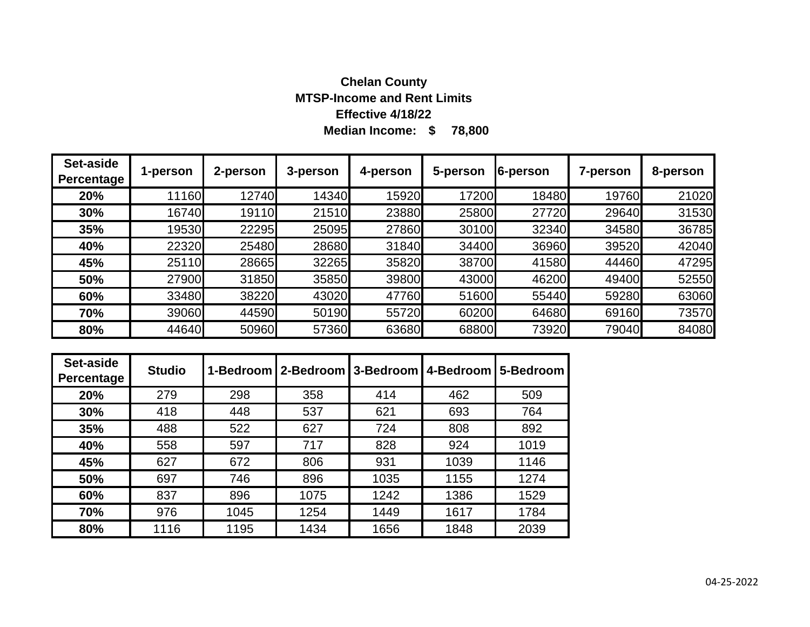# **Median Income: \$ 78,800 Chelan County MTSP-Income and Rent Limits Effective 4/18/22**

| Set-aside<br><b>Percentage</b> | 1-person | 2-person | 3-person | 4-person | 5-person | 6-person | 7-person | 8-person |
|--------------------------------|----------|----------|----------|----------|----------|----------|----------|----------|
| 20%                            | 11160    | 12740    | 14340    | 15920    | 17200    | 18480    | 19760    | 21020    |
| 30%                            | 16740    | 19110    | 21510    | 23880    | 25800    | 27720    | 29640    | 31530    |
| 35%                            | 19530    | 22295    | 25095    | 27860    | 30100    | 32340    | 34580    | 36785    |
| 40%                            | 22320    | 25480    | 28680    | 31840    | 34400    | 36960    | 39520    | 42040    |
| 45%                            | 25110    | 28665    | 32265    | 35820    | 38700    | 41580    | 44460    | 47295    |
| 50%                            | 27900    | 31850    | 35850    | 39800    | 43000    | 46200    | 49400    | 52550    |
| 60%                            | 33480    | 38220    | 43020    | 47760    | 51600    | 55440    | 59280    | 63060    |
| 70%                            | 39060    | 44590    | 50190    | 55720    | 60200    | 64680    | 69160    | 73570    |
| 80%                            | 44640    | 50960    | 57360    | 63680    | 68800    | 73920    | 79040    | 84080    |

| Set-aside<br>Percentage | <b>Studio</b> |      | 1-Bedroom   2-Bedroom   3-Bedroom   4-Bedroom |      |      | 15-Bedroom |
|-------------------------|---------------|------|-----------------------------------------------|------|------|------------|
| 20%                     | 279           | 298  | 358                                           | 414  | 462  | 509        |
| 30%                     | 418           | 448  | 537                                           | 621  | 693  | 764        |
| 35%                     | 488           | 522  | 627                                           | 724  | 808  | 892        |
| 40%                     | 558           | 597  | 717                                           | 828  | 924  | 1019       |
| 45%                     | 627           | 672  | 806                                           | 931  | 1039 | 1146       |
| 50%                     | 697           | 746  | 896                                           | 1035 | 1155 | 1274       |
| 60%                     | 837           | 896  | 1075                                          | 1242 | 1386 | 1529       |
| 70%                     | 976           | 1045 | 1254                                          | 1449 | 1617 | 1784       |
| 80%                     | 1116          | 1195 | 1434                                          | 1656 | 1848 | 2039       |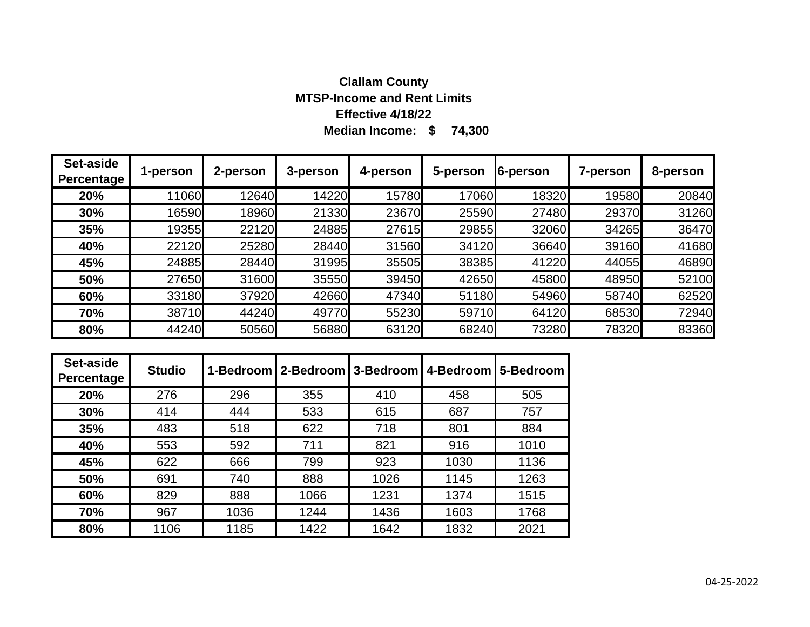# **Median Income: \$ 74,300 Clallam County MTSP-Income and Rent Limits Effective 4/18/22**

| Set-aside<br>Percentage | 1-person | 2-person | 3-person | 4-person | 5-person | 6-person | 7-person | 8-person |
|-------------------------|----------|----------|----------|----------|----------|----------|----------|----------|
| 20%                     | 11060    | 12640    | 14220    | 15780    | 17060    | 18320    | 19580    | 20840    |
| 30%                     | 16590    | 18960    | 21330    | 23670    | 25590    | 27480    | 29370    | 31260    |
| 35%                     | 19355    | 22120    | 24885    | 27615    | 29855    | 32060    | 34265    | 36470    |
| 40%                     | 22120    | 25280    | 28440    | 31560    | 34120    | 36640    | 39160    | 41680    |
| 45%                     | 24885    | 28440    | 31995    | 35505    | 38385    | 41220    | 44055    | 46890    |
| 50%                     | 27650    | 31600    | 35550    | 39450    | 42650    | 45800    | 48950    | 52100    |
| 60%                     | 33180    | 37920    | 42660    | 47340    | 51180    | 54960    | 58740    | 62520    |
| 70%                     | 38710    | 44240    | 49770    | 55230    | 59710    | 64120    | 68530    | 72940    |
| 80%                     | 44240    | 50560    | 56880    | 63120    | 68240    | 73280    | 78320    | 83360    |

| Set-aside<br>Percentage | <b>Studio</b> |      | 1-Bedroom   2-Bedroom   3-Bedroom |      | 4-Bedroom | 5-Bedroom |
|-------------------------|---------------|------|-----------------------------------|------|-----------|-----------|
| 20%                     | 276           | 296  | 355                               | 410  | 458       | 505       |
| 30%                     | 414           | 444  | 533                               | 615  | 687       | 757       |
| 35%                     | 483           | 518  | 622                               | 718  | 801       | 884       |
| 40%                     | 553           | 592  | 711                               | 821  | 916       | 1010      |
| 45%                     | 622           | 666  | 799                               | 923  | 1030      | 1136      |
| 50%                     | 691           | 740  | 888                               | 1026 | 1145      | 1263      |
| 60%                     | 829           | 888  | 1066                              | 1231 | 1374      | 1515      |
| 70%                     | 967           | 1036 | 1244                              | 1436 | 1603      | 1768      |
| 80%                     | 1106          | 1185 | 1422                              | 1642 | 1832      | 2021      |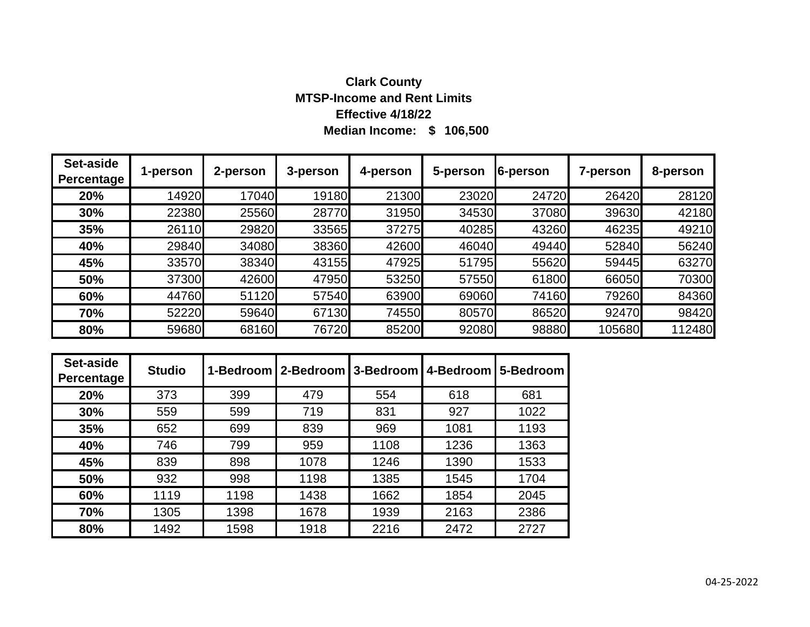# **Median Income: \$ 106,500 Clark County MTSP-Income and Rent Limits Effective 4/18/22**

| Set-aside<br><b>Percentage</b> | 1-person | 2-person | 3-person | 4-person | 5-person | 6-person | 7-person | 8-person |
|--------------------------------|----------|----------|----------|----------|----------|----------|----------|----------|
| 20%                            | 14920    | 17040    | 19180    | 21300    | 23020    | 24720    | 26420    | 28120    |
| 30%                            | 22380    | 25560    | 28770    | 31950    | 34530    | 37080    | 39630    | 42180    |
| 35%                            | 26110    | 29820    | 33565    | 37275    | 40285    | 43260    | 46235    | 49210    |
| 40%                            | 29840    | 34080    | 38360    | 42600    | 46040    | 49440    | 52840    | 56240    |
| 45%                            | 33570    | 38340    | 43155    | 47925    | 51795    | 55620    | 59445    | 63270    |
| 50%                            | 37300    | 42600    | 47950    | 53250    | 57550    | 61800    | 66050    | 70300    |
| 60%                            | 44760    | 51120    | 57540    | 63900    | 69060    | 74160    | 79260    | 84360    |
| 70%                            | 52220    | 59640    | 67130    | 74550    | 80570    | 86520    | 92470    | 98420    |
| 80%                            | 59680    | 68160    | 76720    | 85200    | 92080    | 98880    | 105680   | 112480   |

| Set-aside<br>Percentage | <b>Studio</b> |      | 1-Bedroom   2-Bedroom   3-Bedroom   4-Bedroom |      |      | 5-Bedroom |
|-------------------------|---------------|------|-----------------------------------------------|------|------|-----------|
| 20%                     | 373           | 399  | 479                                           | 554  | 618  | 681       |
| 30%                     | 559           | 599  | 719                                           | 831  | 927  | 1022      |
| 35%                     | 652           | 699  | 839                                           | 969  | 1081 | 1193      |
| 40%                     | 746           | 799  | 959                                           | 1108 | 1236 | 1363      |
| 45%                     | 839           | 898  | 1078                                          | 1246 | 1390 | 1533      |
| 50%                     | 932           | 998  | 1198                                          | 1385 | 1545 | 1704      |
| 60%                     | 1119          | 1198 | 1438                                          | 1662 | 1854 | 2045      |
| 70%                     | 1305          | 1398 | 1678                                          | 1939 | 2163 | 2386      |
| 80%                     | 1492          | 1598 | 1918                                          | 2216 | 2472 | 2727      |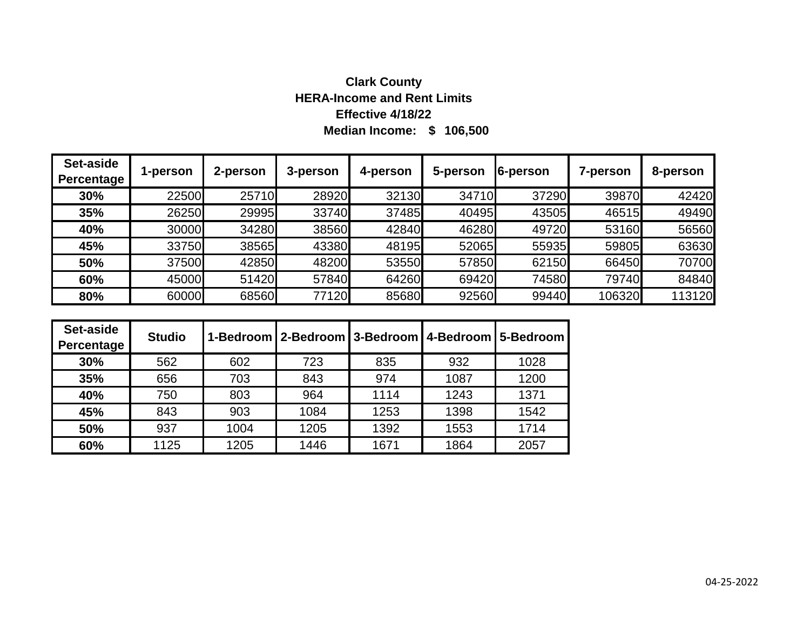# **Median Income: \$ 106,500 Clark County HERA-Income and Rent Limits Effective 4/18/22**

| Set-aside<br>Percentage | 1-person | 2-person | 3-person | 4-person | 5-person | 6-person | 7-person | 8-person |
|-------------------------|----------|----------|----------|----------|----------|----------|----------|----------|
| 30%                     | 22500    | 25710    | 28920    | 32130    | 34710    | 37290    | 39870    | 42420    |
| 35%                     | 26250    | 29995    | 33740    | 37485    | 40495    | 43505    | 46515    | 49490    |
| 40%                     | 30000    | 34280    | 38560    | 42840    | 46280    | 49720    | 53160    | 56560    |
| 45%                     | 33750    | 38565    | 43380    | 48195    | 52065    | 55935    | 59805    | 63630    |
| 50%                     | 37500    | 42850    | 48200    | 53550    | 57850    | 62150    | 66450    | 70700    |
| 60%                     | 45000    | 51420    | 57840    | 64260    | 69420    | 74580    | 79740    | 84840    |
| 80%                     | 60000    | 68560    | 77120    | 85680    | 92560    | 99440    | 106320   | 113120   |

| Set-aside<br>Percentage | <b>Studio</b> |      | 1-Bedroom   2-Bedroom   3-Bedroom   4-Bedroom   5-Bedroom |      |      |      |
|-------------------------|---------------|------|-----------------------------------------------------------|------|------|------|
| 30%                     | 562           | 602  | 723                                                       | 835  | 932  | 1028 |
| 35%                     | 656           | 703  | 843                                                       | 974  | 1087 | 1200 |
| 40%                     | 750           | 803  | 964                                                       | 1114 | 1243 | 1371 |
| 45%                     | 843           | 903  | 1084                                                      | 1253 | 1398 | 1542 |
| 50%                     | 937           | 1004 | 1205                                                      | 1392 | 1553 | 1714 |
| 60%                     | 1125          | 1205 | 1446                                                      | 1671 | 1864 | 2057 |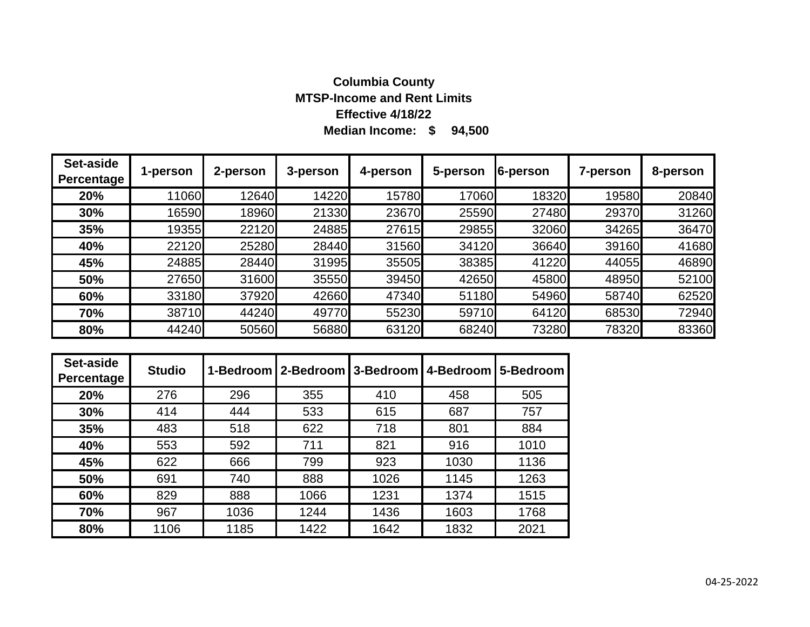# **Median Income: \$ 94,500 Columbia County MTSP-Income and Rent Limits Effective 4/18/22**

| Set-aside<br>Percentage | 1-person | 2-person | 3-person | 4-person | 5-person | <b>6-person</b> | 7-person | 8-person |
|-------------------------|----------|----------|----------|----------|----------|-----------------|----------|----------|
| 20%                     | 11060    | 12640    | 14220    | 15780    | 17060    | 18320           | 19580    | 20840    |
| 30%                     | 16590    | 18960    | 21330    | 23670    | 25590    | 27480           | 29370    | 31260    |
| 35%                     | 19355    | 22120    | 24885    | 27615    | 29855    | 32060           | 34265    | 36470    |
| 40%                     | 22120    | 25280    | 28440    | 31560    | 34120    | 36640           | 39160    | 41680    |
| 45%                     | 24885    | 28440    | 31995    | 35505    | 38385    | 41220           | 44055    | 46890    |
| 50%                     | 27650    | 31600    | 35550    | 39450    | 42650    | 45800           | 48950    | 52100    |
| 60%                     | 33180    | 37920    | 42660    | 47340    | 51180    | 54960           | 58740    | 62520    |
| 70%                     | 38710    | 44240    | 49770    | 55230    | 59710    | 64120           | 68530    | 72940    |
| 80%                     | 44240    | 50560    | 56880    | 63120    | 68240    | 73280           | 78320    | 83360    |

| Set-aside<br>Percentage | <b>Studio</b> |      | 1-Bedroom   2-Bedroom   3-Bedroom |      | 4-Bedroom | 5-Bedroom |
|-------------------------|---------------|------|-----------------------------------|------|-----------|-----------|
| 20%                     | 276           | 296  | 355                               | 410  | 458       | 505       |
| 30%                     | 414           | 444  | 533                               | 615  | 687       | 757       |
| 35%                     | 483           | 518  | 622                               | 718  | 801       | 884       |
| 40%                     | 553           | 592  | 711                               | 821  | 916       | 1010      |
| 45%                     | 622           | 666  | 799                               | 923  | 1030      | 1136      |
| 50%                     | 691           | 740  | 888                               | 1026 | 1145      | 1263      |
| 60%                     | 829           | 888  | 1066                              | 1231 | 1374      | 1515      |
| 70%                     | 967           | 1036 | 1244                              | 1436 | 1603      | 1768      |
| 80%                     | 1106          | 1185 | 1422                              | 1642 | 1832      | 2021      |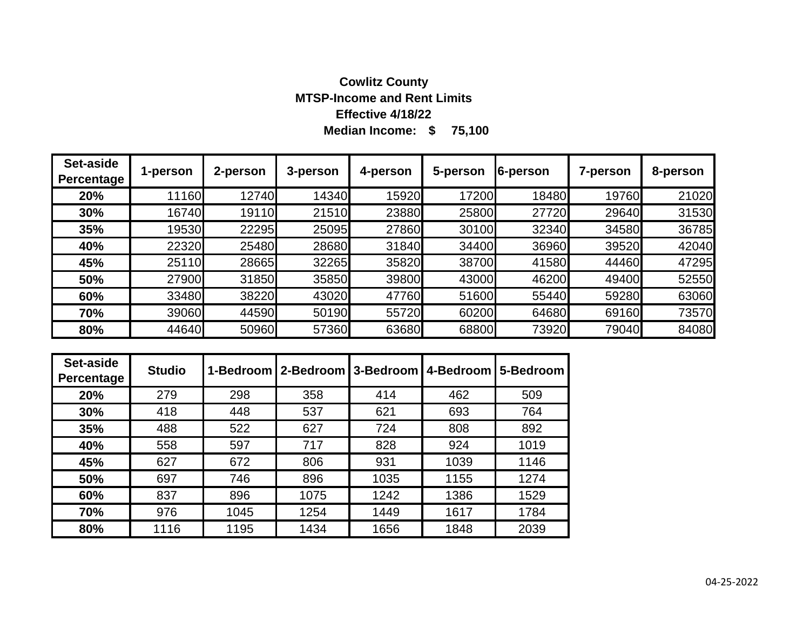# **Median Income: \$ 75,100 Cowlitz County MTSP-Income and Rent Limits Effective 4/18/22**

| Set-aside<br>Percentage | 1-person | 2-person | 3-person | 4-person | 5-person | 6-person | <b>7-person</b> | 8-person |
|-------------------------|----------|----------|----------|----------|----------|----------|-----------------|----------|
| 20%                     | 11160    | 12740    | 14340    | 15920    | 17200    | 18480    | 19760           | 21020    |
| 30%                     | 16740    | 19110    | 21510    | 23880    | 25800    | 27720    | 29640           | 31530    |
| 35%                     | 19530    | 22295    | 25095    | 27860    | 30100    | 32340    | 34580           | 36785    |
| 40%                     | 22320    | 25480    | 28680    | 31840    | 34400    | 36960    | 39520           | 42040    |
| 45%                     | 25110    | 28665    | 32265    | 35820    | 38700    | 41580    | 44460           | 47295    |
| 50%                     | 27900    | 31850    | 35850    | 39800    | 43000    | 46200    | 49400           | 52550    |
| 60%                     | 33480    | 38220    | 43020    | 47760    | 51600    | 55440    | 59280           | 63060    |
| 70%                     | 39060    | 44590    | 50190    | 55720    | 60200    | 64680    | 69160           | 73570    |
| 80%                     | 44640    | 50960    | 57360    | 63680    | 68800    | 73920    | 79040           | 84080    |

| Set-aside<br>Percentage | <b>Studio</b> |      | 1-Bedroom   2-Bedroom   3-Bedroom   4-Bedroom |      |      | 5-Bedroom |
|-------------------------|---------------|------|-----------------------------------------------|------|------|-----------|
| 20%                     | 279           | 298  | 358                                           | 414  | 462  | 509       |
| 30%                     | 418           | 448  | 537                                           | 621  | 693  | 764       |
| 35%                     | 488           | 522  | 627                                           | 724  | 808  | 892       |
| 40%                     | 558           | 597  | 717                                           | 828  | 924  | 1019      |
| 45%                     | 627           | 672  | 806                                           | 931  | 1039 | 1146      |
| 50%                     | 697           | 746  | 896                                           | 1035 | 1155 | 1274      |
| 60%                     | 837           | 896  | 1075                                          | 1242 | 1386 | 1529      |
| 70%                     | 976           | 1045 | 1254                                          | 1449 | 1617 | 1784      |
| 80%                     | 1116          | 1195 | 1434                                          | 1656 | 1848 | 2039      |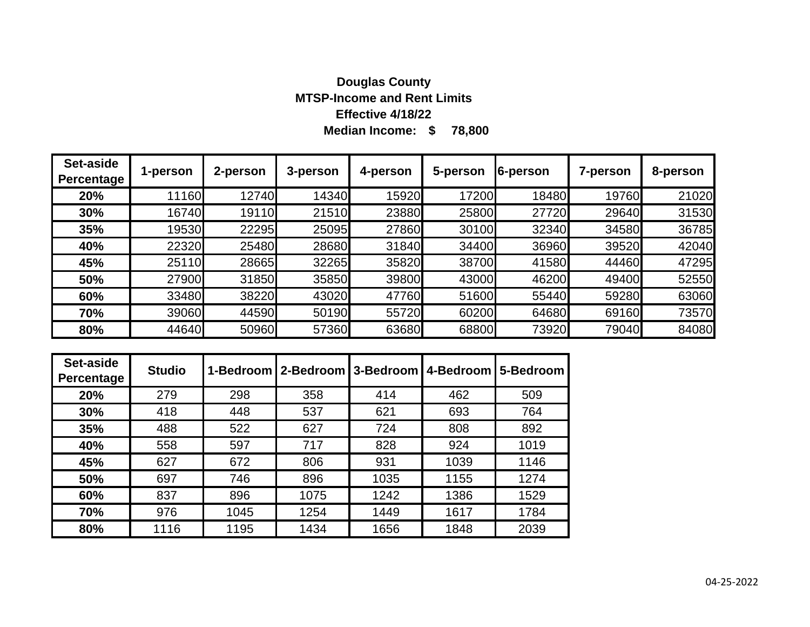### **Median Income: \$ 78,800 Douglas County MTSP-Income and Rent Limits Effective 4/18/22**

| Set-aside<br>Percentage | 1-person | 2-person | 3-person | 4-person | 5-person | 6-person | 7-person | 8-person |
|-------------------------|----------|----------|----------|----------|----------|----------|----------|----------|
| 20%                     | 11160    | 12740    | 14340    | 15920    | 17200    | 18480    | 19760    | 21020    |
| 30%                     | 16740    | 19110    | 21510    | 23880    | 25800    | 27720    | 29640    | 31530    |
| 35%                     | 19530    | 22295    | 25095    | 27860    | 30100    | 32340    | 34580    | 36785    |
| 40%                     | 22320    | 25480    | 28680    | 31840    | 34400    | 36960    | 39520    | 42040    |
| 45%                     | 25110    | 28665    | 32265    | 35820    | 38700    | 41580    | 44460    | 47295    |
| 50%                     | 27900    | 31850    | 35850    | 39800    | 43000    | 46200    | 49400    | 52550    |
| 60%                     | 33480    | 38220    | 43020    | 47760    | 51600    | 55440    | 59280    | 63060    |
| 70%                     | 39060    | 44590    | 50190    | 55720    | 60200    | 64680    | 69160    | 73570    |
| 80%                     | 44640    | 50960    | 57360    | 63680    | 68800    | 73920    | 79040    | 84080    |

| Set-aside<br>Percentage | <b>Studio</b> |      | 1-Bedroom   2-Bedroom   3-Bedroom   4-Bedroom |      |      | 5-Bedroom |
|-------------------------|---------------|------|-----------------------------------------------|------|------|-----------|
| 20%                     | 279           | 298  | 358                                           | 414  | 462  | 509       |
| 30%                     | 418           | 448  | 537                                           | 621  | 693  | 764       |
| 35%                     | 488           | 522  | 627                                           | 724  | 808  | 892       |
| 40%                     | 558           | 597  | 717                                           | 828  | 924  | 1019      |
| 45%                     | 627           | 672  | 806                                           | 931  | 1039 | 1146      |
| 50%                     | 697           | 746  | 896                                           | 1035 | 1155 | 1274      |
| 60%                     | 837           | 896  | 1075                                          | 1242 | 1386 | 1529      |
| 70%                     | 976           | 1045 | 1254                                          | 1449 | 1617 | 1784      |
| 80%                     | 1116          | 1195 | 1434                                          | 1656 | 1848 | 2039      |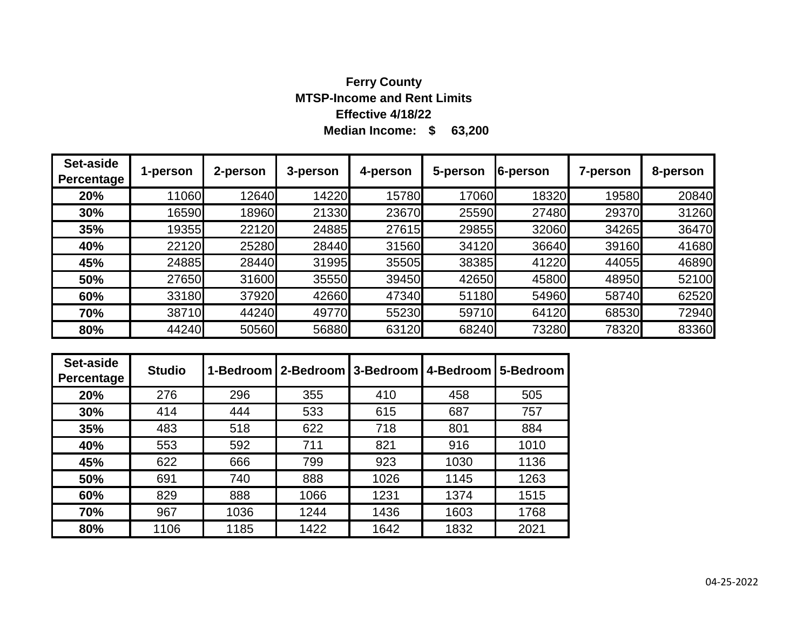# **Median Income: \$ 63,200 Ferry County MTSP-Income and Rent Limits Effective 4/18/22**

| Set-aside<br>Percentage | 1-person | 2-person | 3-person | 4-person | 5-person | 6-person | 7-person | 8-person |
|-------------------------|----------|----------|----------|----------|----------|----------|----------|----------|
| 20%                     | 11060    | 12640    | 14220    | 15780    | 17060    | 18320    | 19580    | 20840    |
| 30%                     | 16590    | 18960    | 21330    | 23670    | 25590    | 27480    | 29370    | 31260    |
| 35%                     | 19355    | 22120    | 24885    | 27615    | 29855    | 32060    | 34265    | 36470    |
| 40%                     | 22120    | 25280    | 28440    | 31560    | 34120    | 36640    | 39160    | 41680    |
| 45%                     | 24885    | 28440    | 31995    | 35505    | 38385    | 41220    | 44055    | 46890    |
| 50%                     | 27650    | 31600    | 35550    | 39450    | 42650    | 45800    | 48950    | 52100    |
| 60%                     | 33180    | 37920    | 42660    | 47340    | 51180    | 54960    | 58740    | 62520    |
| 70%                     | 38710    | 44240    | 49770    | 55230    | 59710    | 64120    | 68530    | 72940    |
| 80%                     | 44240    | 50560    | 56880    | 63120    | 68240    | 73280    | 78320    | 83360    |

| Set-aside<br>Percentage | <b>Studio</b> | 1-Bedroom | 12-Bedroom | 3-Bedroom | 4-Bedroom | 5-Bedroom |
|-------------------------|---------------|-----------|------------|-----------|-----------|-----------|
| 20%                     | 276           | 296       | 355        | 410       | 458       | 505       |
| 30%                     | 414           | 444       | 533        | 615       | 687       | 757       |
| 35%                     | 483           | 518       | 622        | 718       | 801       | 884       |
| 40%                     | 553           | 592       | 711        | 821       | 916       | 1010      |
| 45%                     | 622           | 666       | 799        | 923       | 1030      | 1136      |
| 50%                     | 691           | 740       | 888        | 1026      | 1145      | 1263      |
| 60%                     | 829           | 888       | 1066       | 1231      | 1374      | 1515      |
| 70%                     | 967           | 1036      | 1244       | 1436      | 1603      | 1768      |
| 80%                     | 1106          | 1185      | 1422       | 1642      | 1832      | 2021      |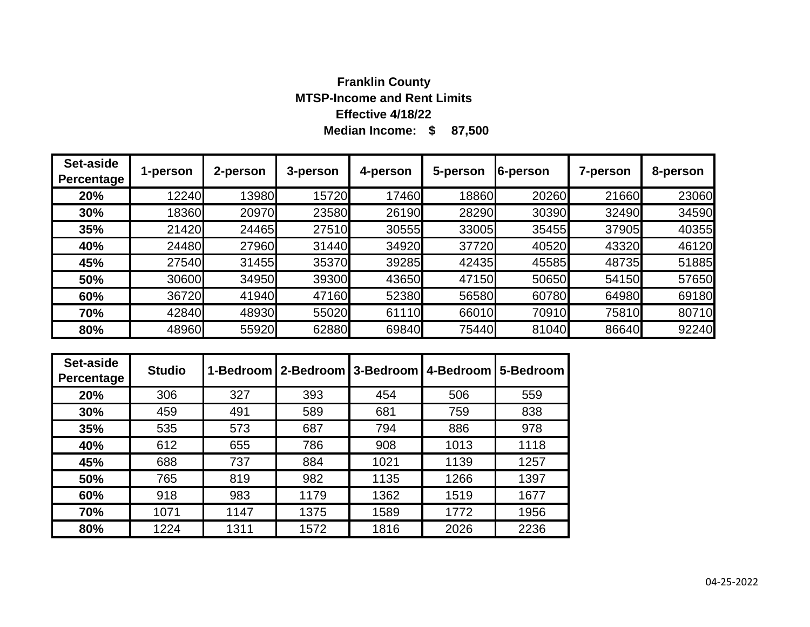# **Median Income: \$ 87,500 Franklin County MTSP-Income and Rent Limits Effective 4/18/22**

| Set-aside<br>Percentage | 1-person | 2-person | 3-person | 4-person | 5-person | 6-person | 7-person | 8-person |
|-------------------------|----------|----------|----------|----------|----------|----------|----------|----------|
| 20%                     | 12240    | 13980    | 15720    | 17460    | 18860    | 20260    | 21660    | 23060    |
| 30%                     | 18360    | 20970    | 23580    | 26190    | 28290    | 30390    | 32490    | 34590    |
| 35%                     | 21420    | 24465    | 27510    | 30555    | 33005    | 35455    | 37905    | 40355    |
| 40%                     | 24480    | 27960    | 31440    | 34920    | 37720    | 40520    | 43320    | 46120    |
| 45%                     | 27540    | 31455    | 35370    | 39285    | 42435    | 45585    | 48735    | 51885    |
| 50%                     | 30600    | 34950    | 39300    | 43650    | 47150    | 50650    | 54150    | 57650    |
| 60%                     | 36720    | 41940    | 47160    | 52380    | 56580    | 60780    | 64980    | 69180    |
| 70%                     | 42840    | 48930    | 55020    | 61110    | 66010    | 70910    | 75810    | 80710    |
| 80%                     | 48960    | 55920    | 62880    | 69840    | 75440    | 81040    | 86640    | 92240    |

| Set-aside<br>Percentage | <b>Studio</b> |      | 1-Bedroom   2-Bedroom   3-Bedroom |      | 4-Bedroom | 5-Bedroom |
|-------------------------|---------------|------|-----------------------------------|------|-----------|-----------|
| 20%                     | 306           | 327  | 393                               | 454  | 506       | 559       |
| 30%                     | 459           | 491  | 589                               | 681  | 759       | 838       |
| 35%                     | 535           | 573  | 687                               | 794  | 886       | 978       |
| 40%                     | 612           | 655  | 786                               | 908  | 1013      | 1118      |
| 45%                     | 688           | 737  | 884                               | 1021 | 1139      | 1257      |
| 50%                     | 765           | 819  | 982                               | 1135 | 1266      | 1397      |
| 60%                     | 918           | 983  | 1179                              | 1362 | 1519      | 1677      |
| 70%                     | 1071          | 1147 | 1375                              | 1589 | 1772      | 1956      |
| 80%                     | 1224          | 1311 | 1572                              | 1816 | 2026      | 2236      |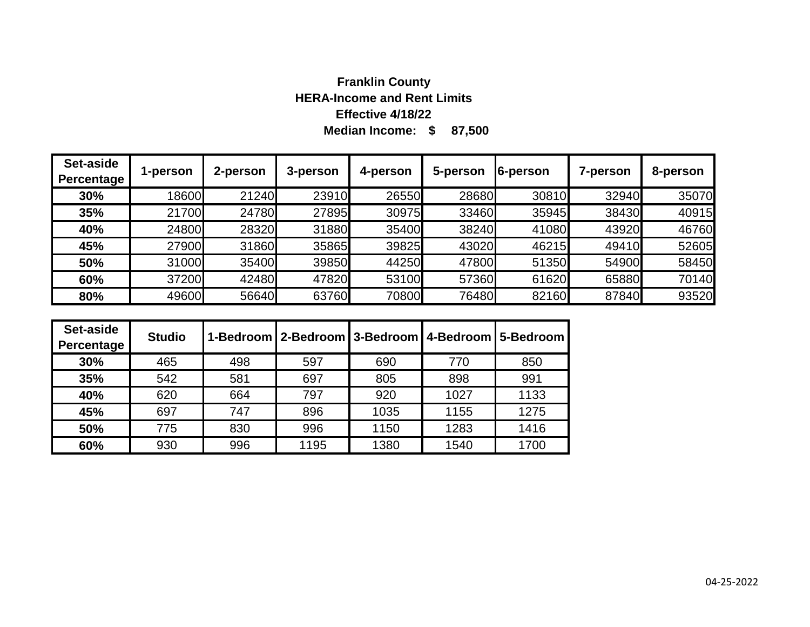# **Median Income: \$ 87,500 Franklin County HERA-Income and Rent Limits Effective 4/18/22**

| Set-aside<br>Percentage | 1-person | 2-person | 3-person | 4-person | 5-person | 6-person | 7-person | 8-person |
|-------------------------|----------|----------|----------|----------|----------|----------|----------|----------|
| 30%                     | 18600    | 21240    | 23910    | 26550    | 28680    | 30810    | 32940    | 35070    |
| 35%                     | 21700    | 24780    | 27895    | 30975    | 33460    | 35945    | 38430    | 40915    |
| 40%                     | 24800    | 28320    | 31880    | 35400    | 38240    | 41080    | 43920    | 46760    |
| 45%                     | 27900    | 31860    | 35865    | 39825    | 43020    | 46215    | 49410    | 52605    |
| 50%                     | 31000    | 35400    | 39850    | 44250    | 47800    | 51350    | 54900    | 58450    |
| 60%                     | 37200    | 42480    | 47820    | 53100    | 57360    | 61620    | 65880    | 70140    |
| 80%                     | 49600    | 56640    | 63760    | 70800    | 76480    | 82160    | 87840    | 93520    |

| Set-aside<br>Percentage | <b>Studio</b> |     | 1-Bedroom   2-Bedroom   3-Bedroom   4-Bedroom   5-Bedroom |      |      |      |
|-------------------------|---------------|-----|-----------------------------------------------------------|------|------|------|
| 30%                     | 465           | 498 | 597                                                       | 690  | 770  | 850  |
| 35%                     | 542           | 581 | 697                                                       | 805  | 898  | 991  |
| 40%                     | 620           | 664 | 797                                                       | 920  | 1027 | 1133 |
| 45%                     | 697           | 747 | 896                                                       | 1035 | 1155 | 1275 |
| 50%                     | 775           | 830 | 996                                                       | 1150 | 1283 | 1416 |
| 60%                     | 930           | 996 | 1195                                                      | 1380 | 1540 | 1700 |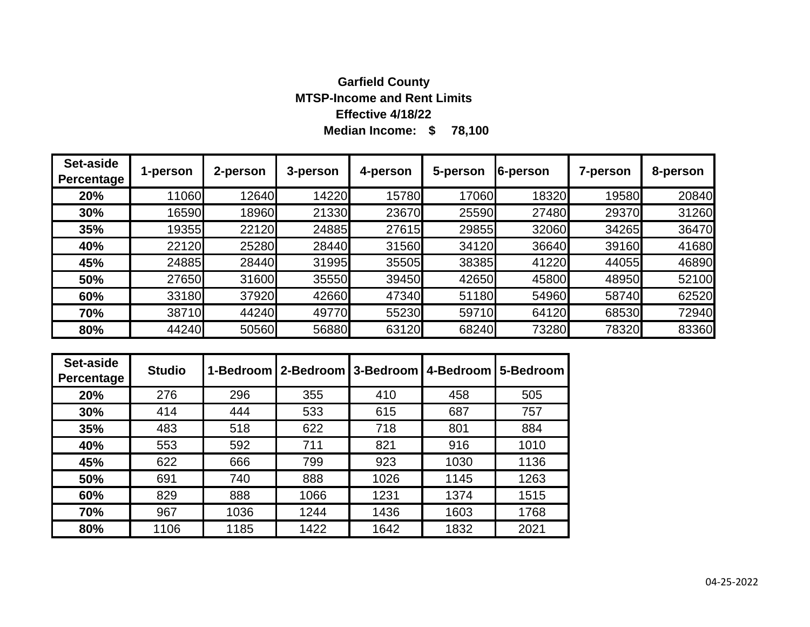### **Median Income: \$ 78,100 Garfield County MTSP-Income and Rent Limits Effective 4/18/22**

| Set-aside<br><b>Percentage</b> | 1-person | 2-person | 3-person | 4-person | 5-person | 6-person | 7-person | 8-person |
|--------------------------------|----------|----------|----------|----------|----------|----------|----------|----------|
| 20%                            | 11060    | 12640    | 14220    | 15780    | 17060    | 18320    | 19580    | 20840    |
| 30%                            | 16590    | 18960    | 21330    | 23670    | 25590    | 27480    | 29370    | 31260    |
| 35%                            | 19355    | 22120    | 24885    | 27615    | 29855    | 32060    | 34265    | 36470    |
| 40%                            | 22120    | 25280    | 28440    | 31560    | 34120    | 36640    | 39160    | 41680    |
| 45%                            | 24885    | 28440    | 31995    | 35505    | 38385    | 41220    | 44055    | 46890    |
| 50%                            | 27650    | 31600    | 35550    | 39450    | 42650    | 45800    | 48950    | 52100    |
| 60%                            | 33180    | 37920    | 42660    | 47340    | 51180    | 54960    | 58740    | 62520    |
| 70%                            | 38710    | 44240    | 49770    | 55230    | 59710    | 64120    | 68530    | 72940    |
| 80%                            | 44240    | 50560    | 56880    | 63120    | 68240    | 73280    | 78320    | 83360    |

| Set-aside<br>Percentage | <b>Studio</b> |      | 1-Bedroom   2-Bedroom   3-Bedroom   4-Bedroom |      |      | 5-Bedroom |
|-------------------------|---------------|------|-----------------------------------------------|------|------|-----------|
| 20%                     | 276           | 296  | 355                                           | 410  | 458  | 505       |
| 30%                     | 414           | 444  | 533                                           | 615  | 687  | 757       |
| 35%                     | 483           | 518  | 622                                           | 718  | 801  | 884       |
| 40%                     | 553           | 592  | 711                                           | 821  | 916  | 1010      |
| 45%                     | 622           | 666  | 799                                           | 923  | 1030 | 1136      |
| 50%                     | 691           | 740  | 888                                           | 1026 | 1145 | 1263      |
| 60%                     | 829           | 888  | 1066                                          | 1231 | 1374 | 1515      |
| 70%                     | 967           | 1036 | 1244                                          | 1436 | 1603 | 1768      |
| 80%                     | 1106          | 1185 | 1422                                          | 1642 | 1832 | 2021      |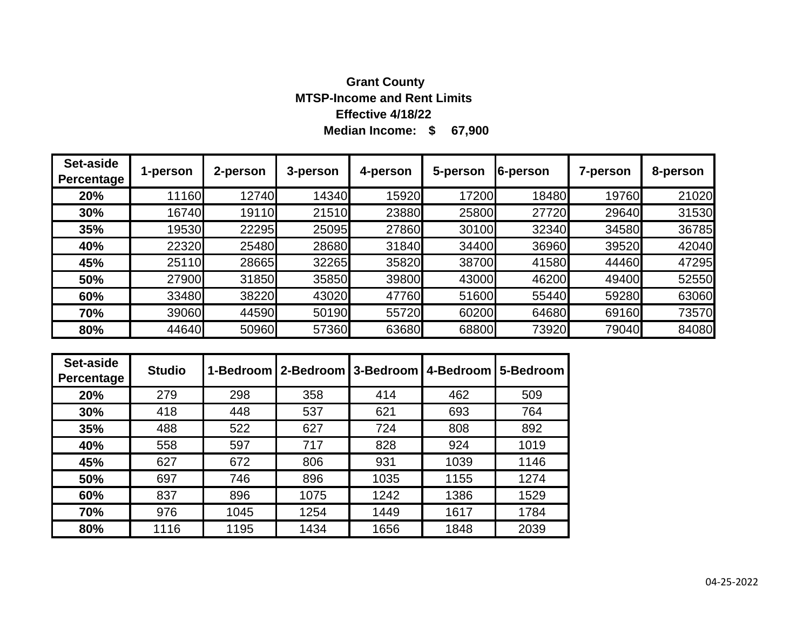# **Median Income: \$ 67,900 Grant County MTSP-Income and Rent Limits Effective 4/18/22**

| Set-aside<br>Percentage | 1-person | 2-person | 3-person | 4-person | 5-person | 6-person | 7-person | 8-person |
|-------------------------|----------|----------|----------|----------|----------|----------|----------|----------|
| 20%                     | 11160    | 12740    | 14340    | 15920    | 17200    | 18480    | 19760    | 21020    |
| 30%                     | 16740    | 19110    | 21510    | 23880    | 25800    | 27720    | 29640    | 31530    |
| 35%                     | 19530    | 22295    | 25095    | 27860    | 30100    | 32340    | 34580    | 36785    |
| 40%                     | 22320    | 25480    | 28680    | 31840    | 34400    | 36960    | 39520    | 42040    |
| 45%                     | 25110    | 28665    | 32265    | 35820    | 38700    | 41580    | 44460    | 47295    |
| 50%                     | 27900    | 31850    | 35850    | 39800    | 43000    | 46200    | 49400    | 52550    |
| 60%                     | 33480    | 38220    | 43020    | 47760    | 51600    | 55440    | 59280    | 63060    |
| 70%                     | 39060    | 44590    | 50190    | 55720    | 60200    | 64680    | 69160    | 73570    |
| 80%                     | 44640    | 50960    | 57360    | 63680    | 68800    | 73920    | 79040    | 84080    |

| Set-aside<br>Percentage | <b>Studio</b> |      | 1-Bedroom   2-Bedroom   3-Bedroom |      | 4-Bedroom | 5-Bedroom |
|-------------------------|---------------|------|-----------------------------------|------|-----------|-----------|
| 20%                     | 279           | 298  | 358                               | 414  | 462       | 509       |
| 30%                     | 418           | 448  | 537                               | 621  | 693       | 764       |
| 35%                     | 488           | 522  | 627                               | 724  | 808       | 892       |
| 40%                     | 558           | 597  | 717                               | 828  | 924       | 1019      |
| 45%                     | 627           | 672  | 806                               | 931  | 1039      | 1146      |
| 50%                     | 697           | 746  | 896                               | 1035 | 1155      | 1274      |
| 60%                     | 837           | 896  | 1075                              | 1242 | 1386      | 1529      |
| 70%                     | 976           | 1045 | 1254                              | 1449 | 1617      | 1784      |
| 80%                     | 1116          | 1195 | 1434                              | 1656 | 1848      | 2039      |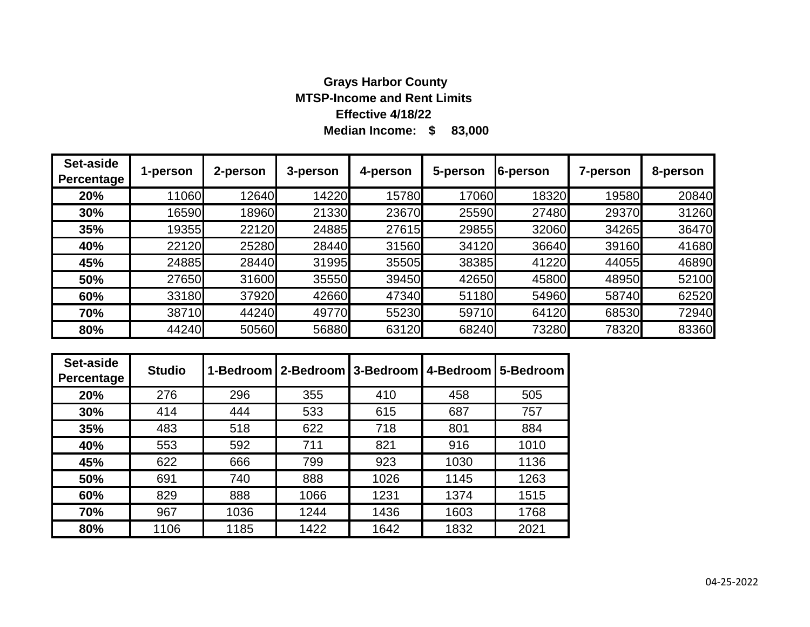#### **Median Income: \$ 83,000 Grays Harbor County MTSP-Income and Rent Limits Effective 4/18/22**

| <b>Set-aside</b><br>Percentage | 1-person | 2-person | $\blacksquare$ 3-person | 4-person | 5-person 6-person |       | 7-person | 8-person |
|--------------------------------|----------|----------|-------------------------|----------|-------------------|-------|----------|----------|
| 20%                            | 11060    | 12640    | 14220                   | 15780    | 17060             | 18320 | 19580    | 2084     |

| <b>Percentage</b> |       |       |       |       |       |       |       |       |
|-------------------|-------|-------|-------|-------|-------|-------|-------|-------|
| 20%               | 11060 | 12640 | 14220 | 15780 | 17060 | 18320 | 19580 | 20840 |
| 30%               | 16590 | 18960 | 21330 | 23670 | 25590 | 27480 | 29370 | 31260 |
| 35%               | 19355 | 22120 | 24885 | 27615 | 29855 | 32060 | 34265 | 36470 |
| 40%               | 22120 | 25280 | 28440 | 31560 | 34120 | 36640 | 39160 | 41680 |
| 45%               | 24885 | 28440 | 31995 | 35505 | 38385 | 41220 | 44055 | 46890 |
| 50%               | 27650 | 31600 | 35550 | 39450 | 42650 | 45800 | 48950 | 52100 |
| 60%               | 33180 | 37920 | 42660 | 47340 | 51180 | 54960 | 58740 | 62520 |
| 70%               | 38710 | 44240 | 49770 | 55230 | 59710 | 64120 | 68530 | 72940 |
| 80%               | 44240 | 50560 | 56880 | 63120 | 68240 | 73280 | 78320 | 83360 |

| Set-aside<br>Percentage | <b>Studio</b> |      | 1-Bedroom   2-Bedroom   3-Bedroom   4-Bedroom |      |      | 5-Bedroom |
|-------------------------|---------------|------|-----------------------------------------------|------|------|-----------|
| 20%                     | 276           | 296  | 355                                           | 410  | 458  | 505       |
| 30%                     | 414           | 444  | 533                                           | 615  | 687  | 757       |
| 35%                     | 483           | 518  | 622                                           | 718  | 801  | 884       |
| 40%                     | 553           | 592  | 711                                           | 821  | 916  | 1010      |
| 45%                     | 622           | 666  | 799                                           | 923  | 1030 | 1136      |
| 50%                     | 691           | 740  | 888                                           | 1026 | 1145 | 1263      |
| 60%                     | 829           | 888  | 1066                                          | 1231 | 1374 | 1515      |
| 70%                     | 967           | 1036 | 1244                                          | 1436 | 1603 | 1768      |
| 80%                     | 1106          | 1185 | 1422                                          | 1642 | 1832 | 2021      |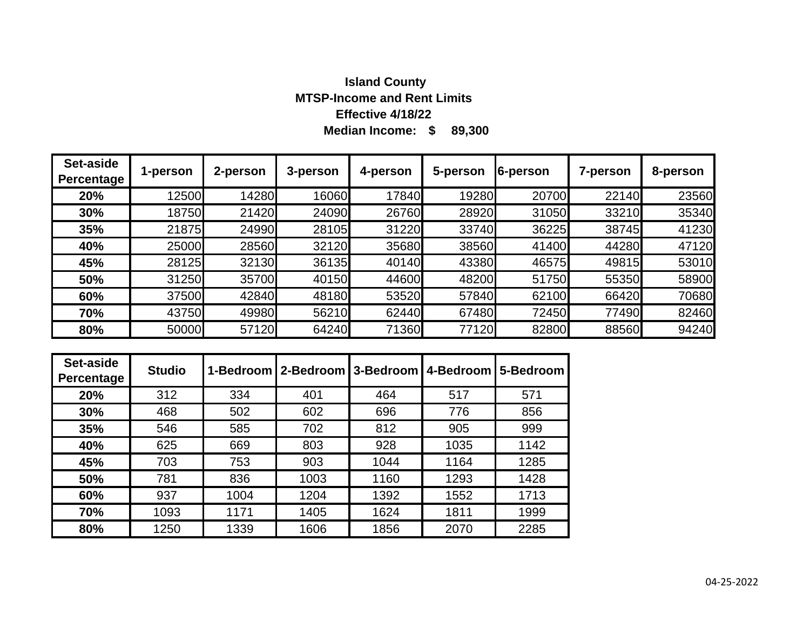# **Median Income: \$ 89,300 Island County MTSP-Income and Rent Limits Effective 4/18/22**

| Set-aside<br>Percentage | 1-person | 2-person | 3-person | 4-person | 5-person | 6-person | 7-person | 8-person |
|-------------------------|----------|----------|----------|----------|----------|----------|----------|----------|
| 20%                     | 12500    | 14280    | 16060    | 17840    | 19280    | 20700    | 22140    | 23560    |
| 30%                     | 18750    | 21420    | 24090    | 26760    | 28920    | 31050    | 33210    | 35340    |
| 35%                     | 21875    | 24990    | 28105    | 31220    | 33740    | 36225    | 38745    | 41230    |
| 40%                     | 25000    | 28560    | 32120    | 35680    | 38560    | 41400    | 44280    | 47120    |
| 45%                     | 28125    | 32130    | 36135    | 40140    | 43380    | 46575    | 49815    | 53010    |
| 50%                     | 31250    | 35700    | 40150    | 44600    | 48200    | 51750    | 55350    | 58900    |
| 60%                     | 37500    | 42840    | 48180    | 53520    | 57840    | 62100    | 66420    | 70680    |
| 70%                     | 43750    | 49980    | 56210    | 62440    | 67480    | 72450    | 77490    | 82460    |
| 80%                     | 50000    | 57120    | 64240    | 71360    | 77120    | 82800    | 88560    | 94240    |

| Set-aside<br>Percentage | <b>Studio</b> | 1-Bedroom | 12-Bedroom | 3-Bedroom | 4-Bedroom | 5-Bedroom |
|-------------------------|---------------|-----------|------------|-----------|-----------|-----------|
| 20%                     | 312           | 334       | 401        | 464       | 517       | 571       |
| 30%                     | 468           | 502       | 602        | 696       | 776       | 856       |
| 35%                     | 546           | 585       | 702        | 812       | 905       | 999       |
| 40%                     | 625           | 669       | 803        | 928       | 1035      | 1142      |
| 45%                     | 703           | 753       | 903        | 1044      | 1164      | 1285      |
| 50%                     | 781           | 836       | 1003       | 1160      | 1293      | 1428      |
| 60%                     | 937           | 1004      | 1204       | 1392      | 1552      | 1713      |
| 70%                     | 1093          | 1171      | 1405       | 1624      | 1811      | 1999      |
| 80%                     | 1250          | 1339      | 1606       | 1856      | 2070      | 2285      |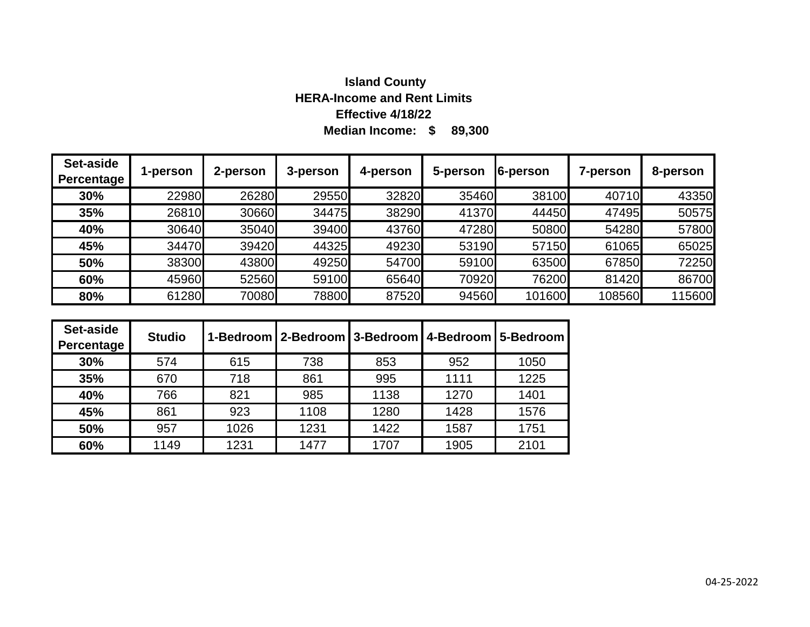# **Median Income: \$ 89,300 Island County HERA-Income and Rent Limits Effective 4/18/22**

| Set-aside<br>Percentage | 1-person | 2-person | 3-person | 4-person | 5-person | 6-person | <b>7-person</b> | 8-person |
|-------------------------|----------|----------|----------|----------|----------|----------|-----------------|----------|
| 30%                     | 22980    | 26280    | 29550    | 32820    | 35460    | 38100    | 40710           | 43350    |
| 35%                     | 26810    | 30660    | 34475    | 38290    | 41370    | 44450    | 47495           | 50575    |
| 40%                     | 30640    | 35040    | 39400    | 43760    | 47280    | 50800    | 54280           | 57800    |
| 45%                     | 34470    | 39420    | 44325    | 49230    | 53190    | 57150    | 61065           | 65025    |
| 50%                     | 38300    | 43800    | 49250    | 54700    | 59100    | 63500    | 67850           | 72250    |
| 60%                     | 45960    | 52560    | 59100    | 65640    | 70920    | 76200    | 81420           | 86700    |
| 80%                     | 61280    | 70080    | 78800    | 87520    | 94560    | 101600   | 108560          | 115600   |

| Set-aside<br>Percentage | <b>Studio</b> |      | 1-Bedroom   2-Bedroom   3-Bedroom   4-Bedroom   5-Bedroom |      |      |      |
|-------------------------|---------------|------|-----------------------------------------------------------|------|------|------|
| 30%                     | 574           | 615  | 738                                                       | 853  | 952  | 1050 |
| 35%                     | 670           | 718  | 861                                                       | 995  | 1111 | 1225 |
| 40%                     | 766           | 821  | 985                                                       | 1138 | 1270 | 1401 |
| 45%                     | 861           | 923  | 1108                                                      | 1280 | 1428 | 1576 |
| 50%                     | 957           | 1026 | 1231                                                      | 1422 | 1587 | 1751 |
| 60%                     | 1149          | 1231 | 1477                                                      | 1707 | 1905 | 2101 |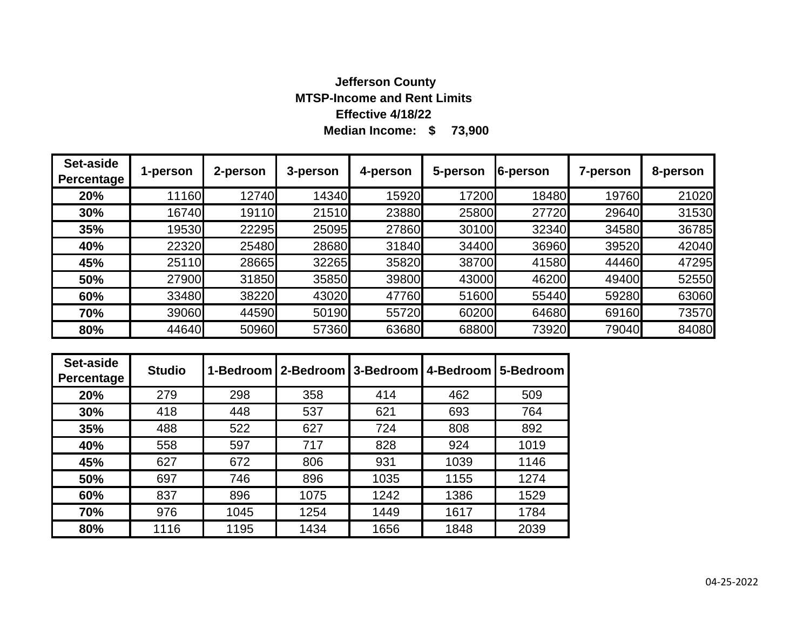# **Median Income: \$ 73,900 Jefferson County MTSP-Income and Rent Limits Effective 4/18/22**

| Set-aside<br>Percentage | 1-person | 2-person | 3-person | 4-person | 5-person | 6-person | 7-person | 8-person |
|-------------------------|----------|----------|----------|----------|----------|----------|----------|----------|
| 20%                     | 11160    | 12740    | 14340    | 15920    | 17200    | 18480    | 19760    | 21020    |
| 30%                     | 16740    | 19110    | 21510    | 23880    | 25800    | 27720    | 29640    | 31530    |
| 35%                     | 19530    | 22295    | 25095    | 27860    | 30100    | 32340    | 34580    | 36785    |
| 40%                     | 22320    | 25480    | 28680    | 31840    | 34400    | 36960    | 39520    | 42040    |
| 45%                     | 25110    | 28665    | 32265    | 35820    | 38700    | 41580    | 44460    | 47295    |
| 50%                     | 27900    | 31850    | 35850    | 39800    | 43000    | 46200    | 49400    | 52550    |
| 60%                     | 33480    | 38220    | 43020    | 47760    | 51600    | 55440    | 59280    | 63060    |
| 70%                     | 39060    | 44590    | 50190    | 55720    | 60200    | 64680    | 69160    | 73570    |
| 80%                     | 44640    | 50960    | 57360    | 63680    | 68800    | 73920    | 79040    | 84080    |

| Set-aside<br>Percentage | <b>Studio</b> |      | 1-Bedroom   2-Bedroom   3-Bedroom   4-Bedroom |      |      | 5-Bedroom |
|-------------------------|---------------|------|-----------------------------------------------|------|------|-----------|
| 20%                     | 279           | 298  | 358                                           | 414  | 462  | 509       |
| 30%                     | 418           | 448  | 537                                           | 621  | 693  | 764       |
| 35%                     | 488           | 522  | 627                                           | 724  | 808  | 892       |
| 40%                     | 558           | 597  | 717                                           | 828  | 924  | 1019      |
| 45%                     | 627           | 672  | 806                                           | 931  | 1039 | 1146      |
| 50%                     | 697           | 746  | 896                                           | 1035 | 1155 | 1274      |
| 60%                     | 837           | 896  | 1075                                          | 1242 | 1386 | 1529      |
| 70%                     | 976           | 1045 | 1254                                          | 1449 | 1617 | 1784      |
| 80%                     | 1116          | 1195 | 1434                                          | 1656 | 1848 | 2039      |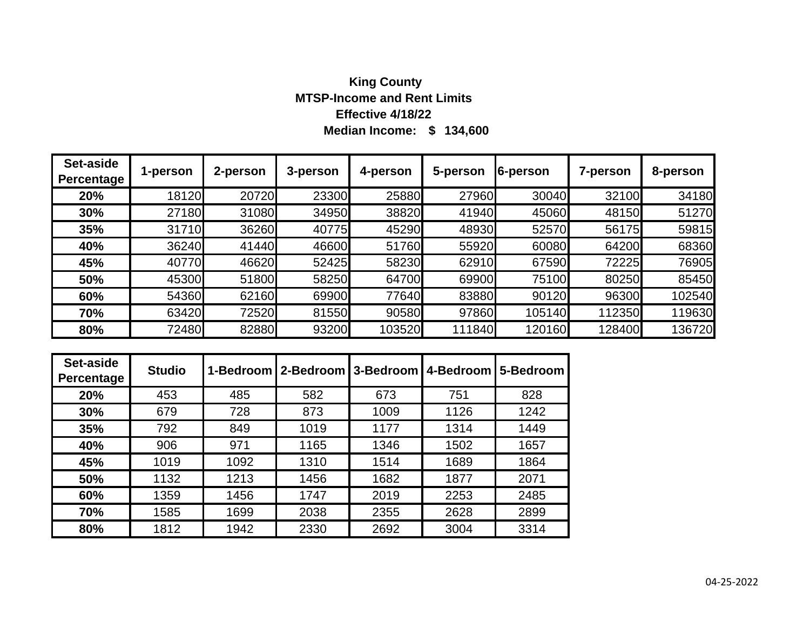# **Median Income: \$ 134,600 King County MTSP-Income and Rent Limits Effective 4/18/22**

| Set-aside<br><b>Percentage</b> | 1-person | 2-person | 3-person | 4-person | 5-person | 6-person | 7-person | 8-person |
|--------------------------------|----------|----------|----------|----------|----------|----------|----------|----------|
| 20%                            | 18120    | 20720    | 23300    | 25880    | 27960    | 30040    | 32100    | 34180    |
| 30%                            | 27180    | 31080    | 34950    | 38820    | 41940    | 45060    | 48150    | 51270    |
| 35%                            | 31710    | 36260    | 40775    | 45290    | 48930    | 52570    | 56175    | 59815    |
| 40%                            | 36240    | 41440    | 46600    | 51760    | 55920    | 60080    | 64200    | 68360    |
| 45%                            | 40770    | 46620    | 52425    | 58230    | 62910    | 67590    | 72225    | 76905    |
| 50%                            | 45300    | 51800    | 58250    | 64700    | 69900    | 75100    | 80250    | 85450    |
| 60%                            | 54360    | 62160    | 69900    | 77640    | 83880    | 90120    | 96300    | 102540   |
| 70%                            | 63420    | 72520    | 81550    | 90580    | 97860    | 105140   | 112350   | 119630   |
| 80%                            | 72480    | 82880    | 93200    | 103520   | 111840   | 120160   | 128400   | 136720   |

| Set-aside<br>Percentage | <b>Studio</b> |      | 1-Bedroom   2-Bedroom   3-Bedroom   4-Bedroom |      |      | 5-Bedroom |
|-------------------------|---------------|------|-----------------------------------------------|------|------|-----------|
| 20%                     | 453           | 485  | 582                                           | 673  | 751  | 828       |
| 30%                     | 679           | 728  | 873                                           | 1009 | 1126 | 1242      |
| 35%                     | 792           | 849  | 1019                                          | 1177 | 1314 | 1449      |
| 40%                     | 906           | 971  | 1165                                          | 1346 | 1502 | 1657      |
| 45%                     | 1019          | 1092 | 1310                                          | 1514 | 1689 | 1864      |
| 50%                     | 1132          | 1213 | 1456                                          | 1682 | 1877 | 2071      |
| 60%                     | 1359          | 1456 | 1747                                          | 2019 | 2253 | 2485      |
| 70%                     | 1585          | 1699 | 2038                                          | 2355 | 2628 | 2899      |
| 80%                     | 1812          | 1942 | 2330                                          | 2692 | 3004 | 3314      |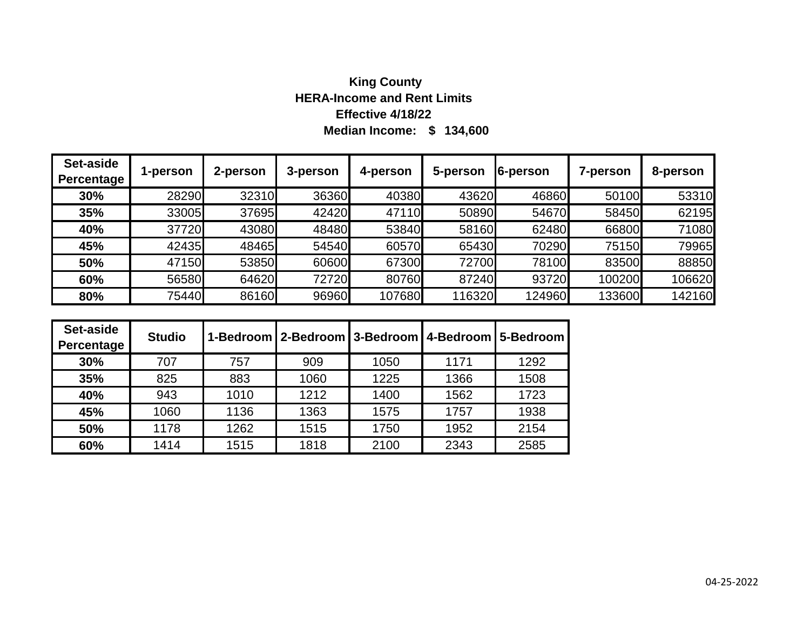# **Median Income: \$ 134,600 King County HERA-Income and Rent Limits Effective 4/18/22**

| Set-aside<br>Percentage | 1-person | 2-person | 3-person | 4-person | 5-person | 6-person | 7-person | 8-person |
|-------------------------|----------|----------|----------|----------|----------|----------|----------|----------|
| 30%                     | 28290    | 32310    | 36360    | 40380    | 43620    | 46860    | 50100    | 53310    |
| 35%                     | 33005    | 37695    | 42420    | 47110    | 50890    | 54670    | 58450    | 62195    |
| 40%                     | 37720    | 43080    | 48480    | 53840    | 58160    | 62480    | 66800    | 71080    |
| 45%                     | 42435    | 48465    | 54540    | 60570    | 65430    | 70290    | 75150    | 79965    |
| 50%                     | 47150    | 53850    | 60600    | 67300    | 72700    | 78100    | 83500    | 88850    |
| 60%                     | 56580    | 64620    | 72720    | 80760    | 87240    | 93720    | 100200   | 106620   |
| 80%                     | 75440    | 86160    | 96960    | 107680   | 116320   | 124960   | 133600   | 142160   |

| Set-aside<br>Percentage | <b>Studio</b> |      |      |      | 1-Bedroom   2-Bedroom   3-Bedroom   4-Bedroom   5-Bedroom |      |
|-------------------------|---------------|------|------|------|-----------------------------------------------------------|------|
| 30%                     | 707           | 757  | 909  | 1050 | 1171                                                      | 1292 |
| 35%                     | 825           | 883  | 1060 | 1225 | 1366                                                      | 1508 |
| 40%                     | 943           | 1010 | 1212 | 1400 | 1562                                                      | 1723 |
| 45%                     | 1060          | 1136 | 1363 | 1575 | 1757                                                      | 1938 |
| 50%                     | 1178          | 1262 | 1515 | 1750 | 1952                                                      | 2154 |
| 60%                     | 1414          | 1515 | 1818 | 2100 | 2343                                                      | 2585 |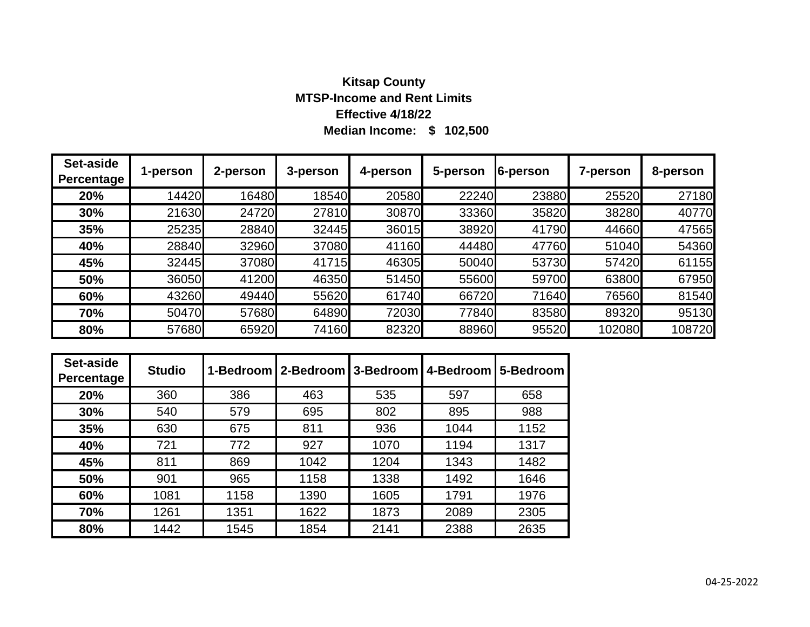# **Median Income: \$ 102,500 Kitsap County MTSP-Income and Rent Limits Effective 4/18/22**

| Set-aside<br><b>Percentage</b> | 1-person | 2-person | 3-person | 4-person | 5-person | 6-person | <b>7-person</b> | 8-person |
|--------------------------------|----------|----------|----------|----------|----------|----------|-----------------|----------|
| 20%                            | 14420    | 16480    | 18540    | 20580    | 22240    | 23880    | 25520           | 27180    |
| 30%                            | 21630    | 24720    | 27810    | 30870    | 33360    | 35820    | 38280           | 40770    |
| 35%                            | 25235    | 28840    | 32445    | 36015    | 38920    | 41790    | 44660           | 47565    |
| 40%                            | 28840    | 32960    | 37080    | 41160    | 44480    | 47760    | 51040           | 54360    |
| 45%                            | 32445    | 37080    | 41715    | 46305    | 50040    | 53730    | 57420           | 61155    |
| 50%                            | 36050    | 41200    | 46350    | 51450    | 55600    | 59700    | 63800           | 67950    |
| 60%                            | 43260    | 49440    | 55620    | 61740    | 66720    | 71640    | 76560           | 81540    |
| 70%                            | 50470    | 57680    | 64890    | 72030    | 77840    | 83580    | 89320           | 95130    |
| 80%                            | 57680    | 65920    | 74160    | 82320    | 88960    | 95520    | 102080          | 108720   |

| Set-aside<br>Percentage | <b>Studio</b> |      | 1-Bedroom   2-Bedroom   3-Bedroom   4-Bedroom |      |      | 5-Bedroom |
|-------------------------|---------------|------|-----------------------------------------------|------|------|-----------|
| 20%                     | 360           | 386  | 463                                           | 535  | 597  | 658       |
| 30%                     | 540           | 579  | 695                                           | 802  | 895  | 988       |
| 35%                     | 630           | 675  | 811                                           | 936  | 1044 | 1152      |
| 40%                     | 721           | 772  | 927                                           | 1070 | 1194 | 1317      |
| 45%                     | 811           | 869  | 1042                                          | 1204 | 1343 | 1482      |
| 50%                     | 901           | 965  | 1158                                          | 1338 | 1492 | 1646      |
| 60%                     | 1081          | 1158 | 1390                                          | 1605 | 1791 | 1976      |
| 70%                     | 1261          | 1351 | 1622                                          | 1873 | 2089 | 2305      |
| 80%                     | 1442          | 1545 | 1854                                          | 2141 | 2388 | 2635      |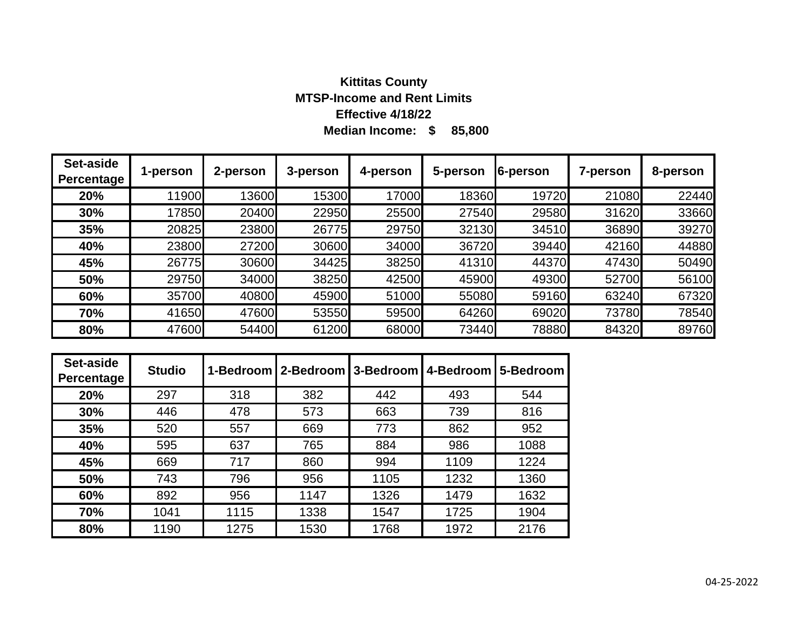# **Median Income: \$ 85,800 Kittitas County MTSP-Income and Rent Limits Effective 4/18/22**

| Set-aside<br><b>Percentage</b> | 1-person | 2-person | 3-person | 4-person | 5-person | 6-person | 7-person | 8-person |
|--------------------------------|----------|----------|----------|----------|----------|----------|----------|----------|
| 20%                            | 11900    | 13600    | 15300    | 17000    | 18360    | 19720    | 21080    | 22440    |
| 30%                            | 17850    | 20400    | 22950    | 25500    | 27540    | 29580    | 31620    | 33660    |
| 35%                            | 20825    | 23800    | 26775    | 29750    | 32130    | 34510    | 36890    | 39270    |
| 40%                            | 23800    | 27200    | 30600    | 34000    | 36720    | 39440    | 42160    | 44880    |
| 45%                            | 26775    | 30600    | 34425    | 38250    | 41310    | 44370    | 47430    | 50490    |
| 50%                            | 29750    | 34000    | 38250    | 42500    | 45900    | 49300    | 52700    | 56100    |
| 60%                            | 35700    | 40800    | 45900    | 51000    | 55080    | 59160    | 63240    | 67320    |
| 70%                            | 41650    | 47600    | 53550    | 59500    | 64260    | 69020    | 73780    | 78540    |
| 80%                            | 47600    | 54400    | 61200    | 68000    | 73440    | 78880    | 84320    | 89760    |

| Set-aside<br>Percentage | <b>Studio</b> |      | 1-Bedroom   2-Bedroom   3-Bedroom |      | 4-Bedroom | 5-Bedroom |
|-------------------------|---------------|------|-----------------------------------|------|-----------|-----------|
| 20%                     | 297           | 318  | 382                               | 442  | 493       | 544       |
| 30%                     | 446           | 478  | 573                               | 663  | 739       | 816       |
| 35%                     | 520           | 557  | 669                               | 773  | 862       | 952       |
| 40%                     | 595           | 637  | 765                               | 884  | 986       | 1088      |
| 45%                     | 669           | 717  | 860                               | 994  | 1109      | 1224      |
| 50%                     | 743           | 796  | 956                               | 1105 | 1232      | 1360      |
| 60%                     | 892           | 956  | 1147                              | 1326 | 1479      | 1632      |
| 70%                     | 1041          | 1115 | 1338                              | 1547 | 1725      | 1904      |
| 80%                     | 1190          | 1275 | 1530                              | 1768 | 1972      | 2176      |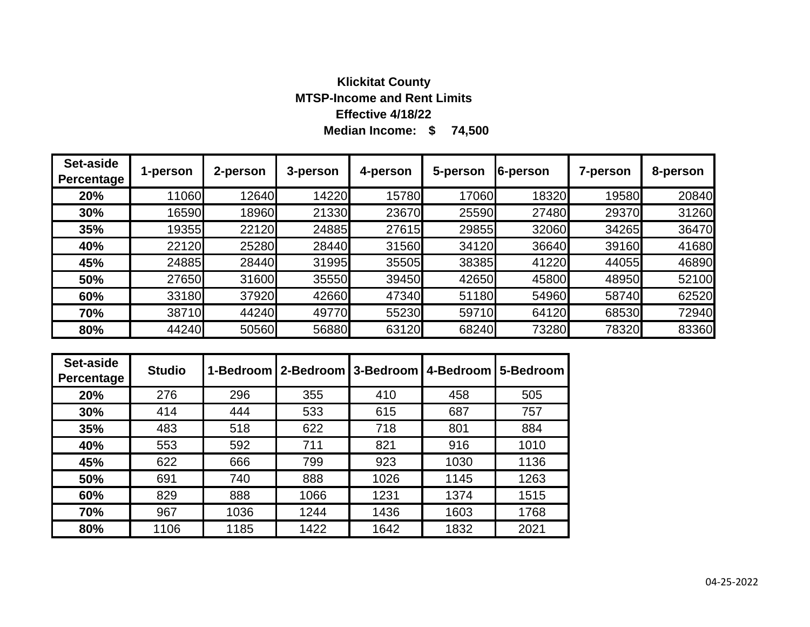### **Median Income: \$ 74,500 Klickitat County MTSP-Income and Rent Limits Effective 4/18/22**

| Set-aside<br>Percentage | 1-person | 2-person | 3-person | 4-person | 5-person | 6-person | 7-person | 8-person |
|-------------------------|----------|----------|----------|----------|----------|----------|----------|----------|
| 20%                     | 11060    | 12640    | 14220    | 15780    | 17060    | 18320    | 19580    | 20840    |
| 30%                     | 16590    | 18960    | 21330    | 23670    | 25590    | 27480    | 29370    | 31260    |
| 35%                     | 19355    | 22120    | 24885    | 27615    | 29855    | 32060    | 34265    | 36470    |
| 40%                     | 22120    | 25280    | 28440    | 31560    | 34120    | 36640    | 39160    | 41680    |
| 45%                     | 24885    | 28440    | 31995    | 35505    | 38385    | 41220    | 44055    | 46890    |
| 50%                     | 27650    | 31600    | 35550    | 39450    | 42650    | 45800    | 48950    | 52100    |
| 60%                     | 33180    | 37920    | 42660    | 47340    | 51180    | 54960    | 58740    | 62520    |
| 70%                     | 38710    | 44240    | 49770    | 55230    | 59710    | 64120    | 68530    | 72940    |
| 80%                     | 44240    | 50560    | 56880    | 63120    | 68240    | 73280    | 78320    | 83360    |

| Set-aside<br>Percentage | <b>Studio</b> |      | 1-Bedroom   2-Bedroom   3-Bedroom |      | 4-Bedroom | 5-Bedroom |
|-------------------------|---------------|------|-----------------------------------|------|-----------|-----------|
| 20%                     | 276           | 296  | 355                               | 410  | 458       | 505       |
| 30%                     | 414           | 444  | 533                               | 615  | 687       | 757       |
| 35%                     | 483           | 518  | 622                               | 718  | 801       | 884       |
| 40%                     | 553           | 592  | 711                               | 821  | 916       | 1010      |
| 45%                     | 622           | 666  | 799                               | 923  | 1030      | 1136      |
| 50%                     | 691           | 740  | 888                               | 1026 | 1145      | 1263      |
| 60%                     | 829           | 888  | 1066                              | 1231 | 1374      | 1515      |
| 70%                     | 967           | 1036 | 1244                              | 1436 | 1603      | 1768      |
| 80%                     | 1106          | 1185 | 1422                              | 1642 | 1832      | 2021      |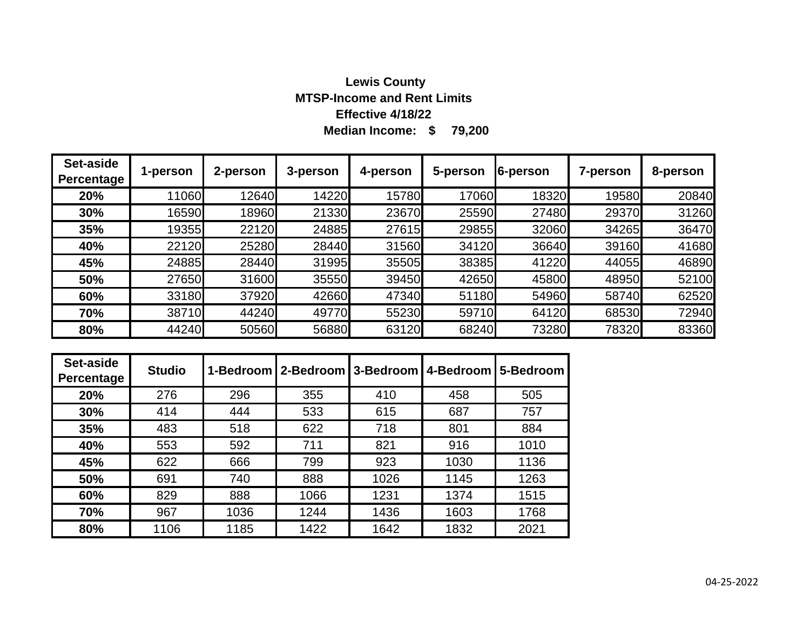# **Median Income: \$ 79,200 Lewis County MTSP-Income and Rent Limits Effective 4/18/22**

| Set-aside<br>Percentage | 1-person | 2-person | 3-person | 4-person | 5-person | 6-person | 7-person | 8-person |
|-------------------------|----------|----------|----------|----------|----------|----------|----------|----------|
| 20%                     | 11060    | 12640    | 14220    | 15780    | 17060    | 18320    | 19580    | 20840    |
| 30%                     | 16590    | 18960    | 21330    | 23670    | 25590    | 27480    | 29370    | 31260    |
| 35%                     | 19355    | 22120    | 24885    | 27615    | 29855    | 32060    | 34265    | 36470    |
| 40%                     | 22120    | 25280    | 28440    | 31560    | 34120    | 36640    | 39160    | 41680    |
| 45%                     | 24885    | 28440    | 31995    | 35505    | 38385    | 41220    | 44055    | 46890    |
| 50%                     | 27650    | 31600    | 35550    | 39450    | 42650    | 45800    | 48950    | 52100    |
| 60%                     | 33180    | 37920    | 42660    | 47340    | 51180    | 54960    | 58740    | 62520    |
| 70%                     | 38710    | 44240    | 49770    | 55230    | 59710    | 64120    | 68530    | 72940    |
| 80%                     | 44240    | 50560    | 56880    | 63120    | 68240    | 73280    | 78320    | 83360    |

| Set-aside<br>Percentage | <b>Studio</b> |      | 1-Bedroom   2-Bedroom   3-Bedroom   4-Bedroom |      |      | 15-Bedroom |
|-------------------------|---------------|------|-----------------------------------------------|------|------|------------|
| 20%                     | 276           | 296  | 355                                           | 410  | 458  | 505        |
| 30%                     | 414           | 444  | 533                                           | 615  | 687  | 757        |
| 35%                     | 483           | 518  | 622                                           | 718  | 801  | 884        |
| 40%                     | 553           | 592  | 711                                           | 821  | 916  | 1010       |
| 45%                     | 622           | 666  | 799                                           | 923  | 1030 | 1136       |
| 50%                     | 691           | 740  | 888                                           | 1026 | 1145 | 1263       |
| 60%                     | 829           | 888  | 1066                                          | 1231 | 1374 | 1515       |
| 70%                     | 967           | 1036 | 1244                                          | 1436 | 1603 | 1768       |
| 80%                     | 1106          | 1185 | 1422                                          | 1642 | 1832 | 2021       |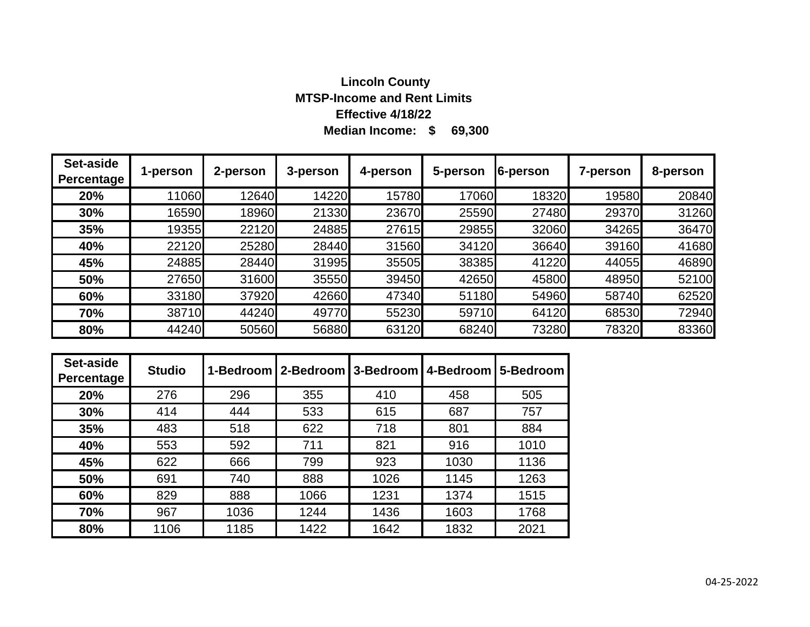# **Median Income: \$ 69,300 Lincoln County MTSP-Income and Rent Limits Effective 4/18/22**

| Set-aside<br>Percentage | 1-person | 2-person | 3-person | 4-person | 5-person | 6-person | 7-person | 8-person |
|-------------------------|----------|----------|----------|----------|----------|----------|----------|----------|
| 20%                     | 11060    | 12640    | 14220    | 15780    | 17060    | 18320    | 19580    | 20840    |
| 30%                     | 16590    | 18960    | 21330    | 23670    | 25590    | 27480    | 29370    | 31260    |
| 35%                     | 19355    | 22120    | 24885    | 27615    | 29855    | 32060    | 34265    | 36470    |
| 40%                     | 22120    | 25280    | 28440    | 31560    | 34120    | 36640    | 39160    | 41680    |
| 45%                     | 24885    | 28440    | 31995    | 35505    | 38385    | 41220    | 44055    | 46890    |
| 50%                     | 27650    | 31600    | 35550    | 39450    | 42650    | 45800    | 48950    | 52100    |
| 60%                     | 33180    | 37920    | 42660    | 47340    | 51180    | 54960    | 58740    | 62520    |
| 70%                     | 38710    | 44240    | 49770    | 55230    | 59710    | 64120    | 68530    | 72940    |
| 80%                     | 44240    | 50560    | 56880    | 63120    | 68240    | 73280    | 78320    | 83360    |

| Set-aside<br>Percentage | <b>Studio</b> | 1-Bedroom | 12-Bedroom | 3-Bedroom | 4-Bedroom | 5-Bedroom |
|-------------------------|---------------|-----------|------------|-----------|-----------|-----------|
| 20%                     | 276           | 296       | 355        | 410       | 458       | 505       |
| 30%                     | 414           | 444       | 533        | 615       | 687       | 757       |
| 35%                     | 483           | 518       | 622        | 718       | 801       | 884       |
| 40%                     | 553           | 592       | 711        | 821       | 916       | 1010      |
| 45%                     | 622           | 666       | 799        | 923       | 1030      | 1136      |
| 50%                     | 691           | 740       | 888        | 1026      | 1145      | 1263      |
| 60%                     | 829           | 888       | 1066       | 1231      | 1374      | 1515      |
| 70%                     | 967           | 1036      | 1244       | 1436      | 1603      | 1768      |
| 80%                     | 1106          | 1185      | 1422       | 1642      | 1832      | 2021      |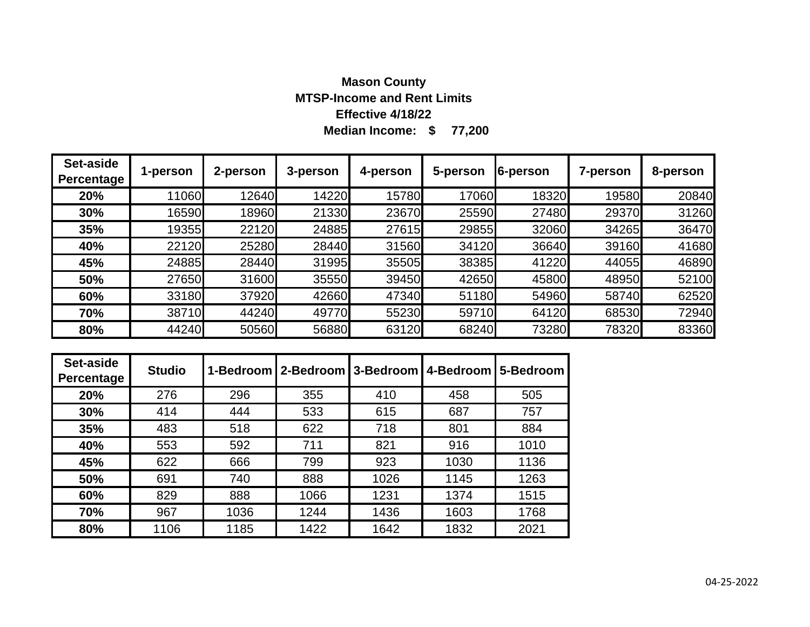# **Median Income: \$ 77,200 Mason County MTSP-Income and Rent Limits Effective 4/18/22**

| Set-aside<br>Percentage | 1-person | 2-person | 3-person | 4-person | 5-person | 6-person | 7-person | 8-person |
|-------------------------|----------|----------|----------|----------|----------|----------|----------|----------|
| 20%                     | 11060    | 12640    | 14220    | 15780    | 17060    | 18320    | 19580    | 20840    |
| 30%                     | 16590    | 18960    | 21330    | 23670    | 25590    | 27480    | 29370    | 31260    |
| 35%                     | 19355    | 22120    | 24885    | 27615    | 29855    | 32060    | 34265    | 36470    |
| 40%                     | 22120    | 25280    | 28440    | 31560    | 34120    | 36640    | 39160    | 41680    |
| 45%                     | 24885    | 28440    | 31995    | 35505    | 38385    | 41220    | 44055    | 46890    |
| 50%                     | 27650    | 31600    | 35550    | 39450    | 42650    | 45800    | 48950    | 52100    |
| 60%                     | 33180    | 37920    | 42660    | 47340    | 51180    | 54960    | 58740    | 62520    |
| 70%                     | 38710    | 44240    | 49770    | 55230    | 59710    | 64120    | 68530    | 72940    |
| 80%                     | 44240    | 50560    | 56880    | 63120    | 68240    | 73280    | 78320    | 83360    |

| Set-aside<br>Percentage | <b>Studio</b> |      | 1-Bedroom   2-Bedroom   3-Bedroom |      | 4-Bedroom   5-Bedroom |      |
|-------------------------|---------------|------|-----------------------------------|------|-----------------------|------|
| 20%                     | 276           | 296  | 355                               | 410  | 458                   | 505  |
| 30%                     | 414           | 444  | 533                               | 615  | 687                   | 757  |
| 35%                     | 483           | 518  | 622                               | 718  | 801                   | 884  |
| 40%                     | 553           | 592  | 711                               | 821  | 916                   | 1010 |
| 45%                     | 622           | 666  | 799                               | 923  | 1030                  | 1136 |
| 50%                     | 691           | 740  | 888                               | 1026 | 1145                  | 1263 |
| 60%                     | 829           | 888  | 1066                              | 1231 | 1374                  | 1515 |
| 70%                     | 967           | 1036 | 1244                              | 1436 | 1603                  | 1768 |
| 80%                     | 1106          | 1185 | 1422                              | 1642 | 1832                  | 2021 |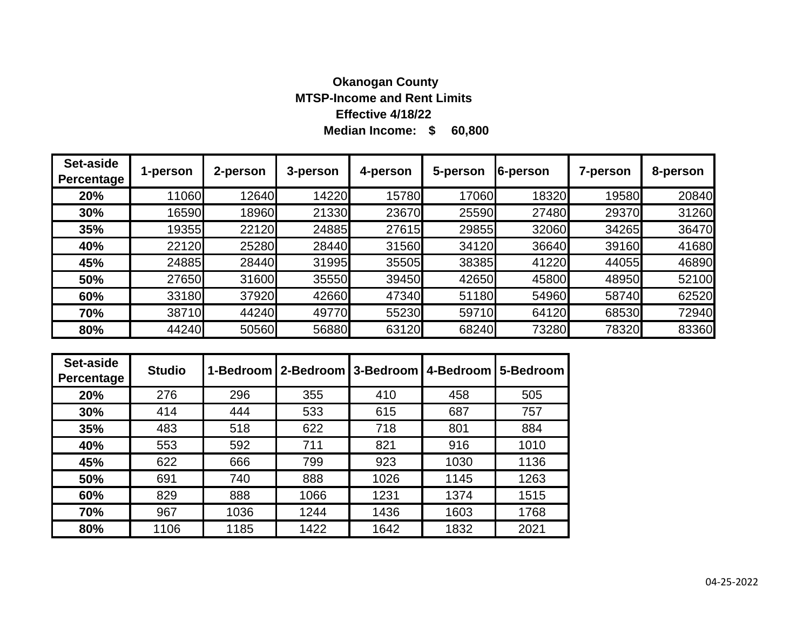# **Median Income: \$ 60,800 Okanogan County MTSP-Income and Rent Limits Effective 4/18/22**

| Set-aside<br><b>Percentage</b> | 1-person | 2-person | 3-person | 4-person | 5-person | 6-person | 7-person | 8-person |
|--------------------------------|----------|----------|----------|----------|----------|----------|----------|----------|
| 20%                            | 11060    | 12640    | 14220    | 15780    | 17060    | 18320    | 19580    | 20840    |
| 30%                            | 16590    | 18960    | 21330    | 23670    | 25590    | 27480    | 29370    | 31260    |
| 35%                            | 19355    | 22120    | 24885    | 27615    | 29855    | 32060    | 34265    | 36470    |
| 40%                            | 22120    | 25280    | 28440    | 31560    | 34120    | 36640    | 39160    | 41680    |
| 45%                            | 24885    | 28440    | 31995    | 35505    | 38385    | 41220    | 44055    | 46890    |
| 50%                            | 27650    | 31600    | 35550    | 39450    | 42650    | 45800    | 48950    | 52100    |
| 60%                            | 33180    | 37920    | 42660    | 47340    | 51180    | 54960    | 58740    | 62520    |
| 70%                            | 38710    | 44240    | 49770    | 55230    | 59710    | 64120    | 68530    | 72940    |
| 80%                            | 44240    | 50560    | 56880    | 63120    | 68240    | 73280    | 78320    | 83360    |

| Set-aside<br><b>Percentage</b> | <b>Studio</b> |      | 1-Bedroom   2-Bedroom   3-Bedroom   4-Bedroom |      |      | 5-Bedroom |
|--------------------------------|---------------|------|-----------------------------------------------|------|------|-----------|
| 20%                            | 276           | 296  | 355                                           | 410  | 458  | 505       |
| 30%                            | 414           | 444  | 533                                           | 615  | 687  | 757       |
| 35%                            | 483           | 518  | 622                                           | 718  | 801  | 884       |
| 40%                            | 553           | 592  | 711                                           | 821  | 916  | 1010      |
| 45%                            | 622           | 666  | 799                                           | 923  | 1030 | 1136      |
| 50%                            | 691           | 740  | 888                                           | 1026 | 1145 | 1263      |
| 60%                            | 829           | 888  | 1066                                          | 1231 | 1374 | 1515      |
| 70%                            | 967           | 1036 | 1244                                          | 1436 | 1603 | 1768      |
| 80%                            | 1106          | 1185 | 1422                                          | 1642 | 1832 | 2021      |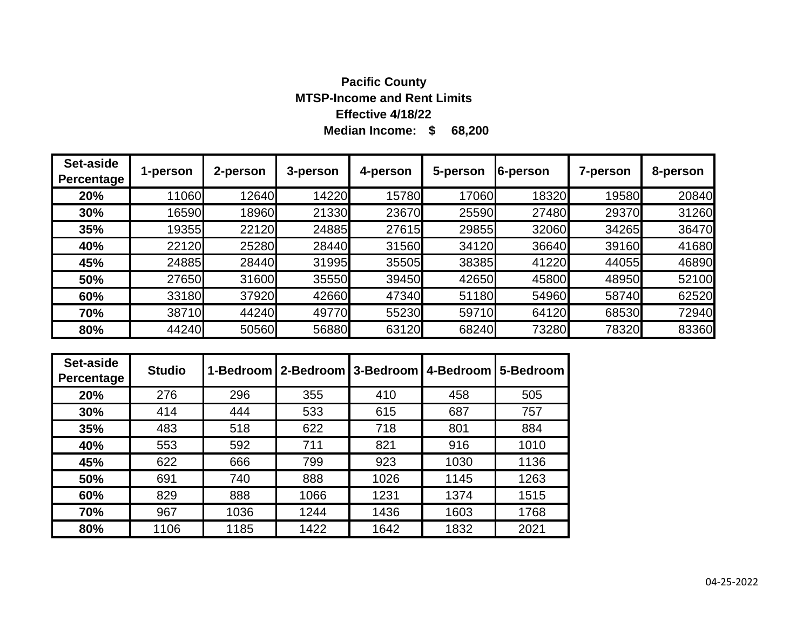# **Median Income: \$ 68,200 Pacific County MTSP-Income and Rent Limits Effective 4/18/22**

| Set-aside<br>Percentage | 1-person | 2-person | 3-person | 4-person | 5-person | 6-person | 7-person | 8-person |
|-------------------------|----------|----------|----------|----------|----------|----------|----------|----------|
| 20%                     | 11060    | 12640    | 14220    | 15780    | 17060    | 18320    | 19580    | 20840    |
| 30%                     | 16590    | 18960    | 21330    | 23670    | 25590    | 27480    | 29370    | 31260    |
| 35%                     | 19355    | 22120    | 24885    | 27615    | 29855    | 32060    | 34265    | 36470    |
| 40%                     | 22120    | 25280    | 28440    | 31560    | 34120    | 36640    | 39160    | 41680    |
| 45%                     | 24885    | 28440    | 31995    | 35505    | 38385    | 41220    | 44055    | 46890    |
| 50%                     | 27650    | 31600    | 35550    | 39450    | 42650    | 45800    | 48950    | 52100    |
| 60%                     | 33180    | 37920    | 42660    | 47340    | 51180    | 54960    | 58740    | 62520    |
| 70%                     | 38710    | 44240    | 49770    | 55230    | 59710    | 64120    | 68530    | 72940    |
| 80%                     | 44240    | 50560    | 56880    | 63120    | 68240    | 73280    | 78320    | 83360    |

| Set-aside<br>Percentage | <b>Studio</b> |      |      |      | 1-Bedroom   2-Bedroom   3-Bedroom   4-Bedroom | 5-Bedroom |
|-------------------------|---------------|------|------|------|-----------------------------------------------|-----------|
| 20%                     | 276           | 296  | 355  | 410  | 458                                           | 505       |
| 30%                     | 414           | 444  | 533  | 615  | 687                                           | 757       |
| 35%                     | 483           | 518  | 622  | 718  | 801                                           | 884       |
| 40%                     | 553           | 592  | 711  | 821  | 916                                           | 1010      |
| 45%                     | 622           | 666  | 799  | 923  | 1030                                          | 1136      |
| 50%                     | 691           | 740  | 888  | 1026 | 1145                                          | 1263      |
| 60%                     | 829           | 888  | 1066 | 1231 | 1374                                          | 1515      |
| 70%                     | 967           | 1036 | 1244 | 1436 | 1603                                          | 1768      |
| 80%                     | 1106          | 1185 | 1422 | 1642 | 1832                                          | 2021      |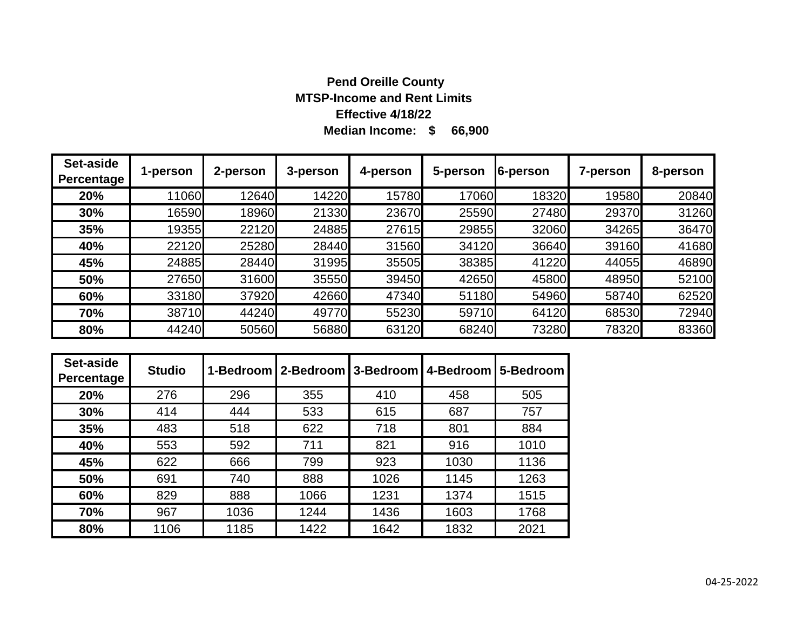### **Median Income: \$ 66,900 Pend Oreille County MTSP-Income and Rent Limits Effective 4/18/22**

| Set-aside<br>Percentage | 1-person | 2-person | 3-person | 4-person | 5-person | 6-person | 7-person | 8-person |
|-------------------------|----------|----------|----------|----------|----------|----------|----------|----------|
| 20%                     | 11060    | 12640    | 14220    | 15780    | 17060    | 18320    | 19580    | 20840    |
| 30%                     | 16590    | 18960    | 21330    | 23670    | 25590    | 27480    | 29370    | 31260    |
| 35%                     | 19355    | 22120    | 24885    | 27615    | 29855    | 32060    | 34265    | 36470    |
| 40%                     | 22120    | 25280    | 28440    | 31560    | 34120    | 36640    | 39160    | 41680    |
| 45%                     | 24885    | 28440    | 31995    | 35505    | 38385    | 41220    | 44055    | 46890    |
| 50%                     | 27650    | 31600    | 35550    | 39450    | 42650    | 45800    | 48950    | 52100    |
| 60%                     | 33180    | 37920    | 42660    | 47340    | 51180    | 54960    | 58740    | 62520    |
| 70%                     | 38710    | 44240    | 49770    | 55230    | 59710    | 64120    | 68530    | 72940    |
| 80%                     | 44240    | 50560    | 56880    | 63120    | 68240    | 73280    | 78320    | 83360    |

| Set-aside<br>Percentage | <b>Studio</b> |      | 1-Bedroom   2-Bedroom   3-Bedroom |      | 4-Bedroom | 5-Bedroom |
|-------------------------|---------------|------|-----------------------------------|------|-----------|-----------|
| 20%                     | 276           | 296  | 355                               | 410  | 458       | 505       |
| 30%                     | 414           | 444  | 533                               | 615  | 687       | 757       |
| 35%                     | 483           | 518  | 622                               | 718  | 801       | 884       |
| 40%                     | 553           | 592  | 711                               | 821  | 916       | 1010      |
| 45%                     | 622           | 666  | 799                               | 923  | 1030      | 1136      |
| 50%                     | 691           | 740  | 888                               | 1026 | 1145      | 1263      |
| 60%                     | 829           | 888  | 1066                              | 1231 | 1374      | 1515      |
| 70%                     | 967           | 1036 | 1244                              | 1436 | 1603      | 1768      |
| 80%                     | 1106          | 1185 | 1422                              | 1642 | 1832      | 2021      |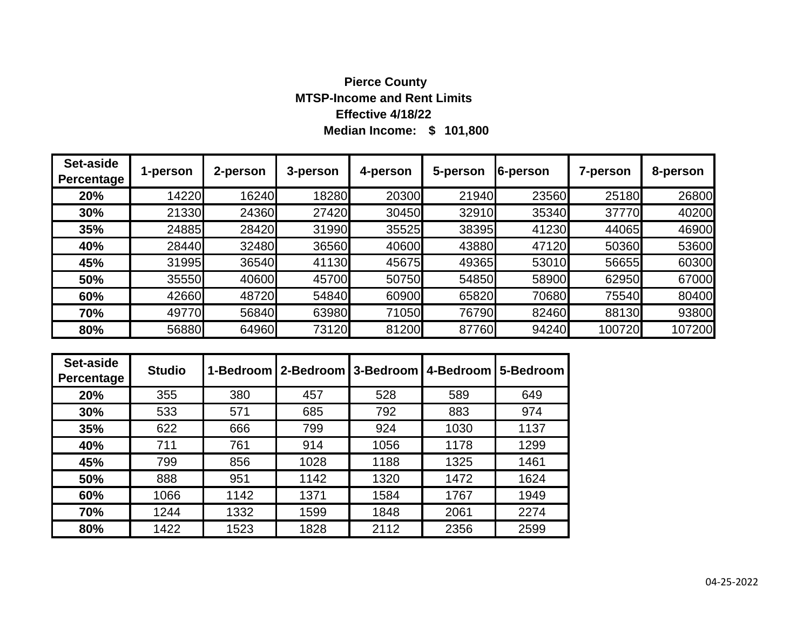# **Median Income: \$ 101,800 Pierce County MTSP-Income and Rent Limits Effective 4/18/22**

| Set-aside<br><b>Percentage</b> | 1-person | 2-person | 3-person | 4-person | 5-person | 6-person | <b>7-person</b> | 8-person |
|--------------------------------|----------|----------|----------|----------|----------|----------|-----------------|----------|
| 20%                            | 14220    | 16240    | 18280    | 20300    | 21940    | 23560    | 25180           | 26800    |
| 30%                            | 21330    | 24360    | 27420    | 30450    | 32910    | 35340    | 37770           | 40200    |
| 35%                            | 24885    | 28420    | 31990    | 35525    | 38395    | 41230    | 44065           | 46900    |
| 40%                            | 28440    | 32480    | 36560    | 40600    | 43880    | 47120    | 50360           | 53600    |
| 45%                            | 31995    | 36540    | 41130    | 45675    | 49365    | 53010    | 56655           | 60300    |
| 50%                            | 35550    | 40600    | 45700    | 50750    | 54850    | 58900    | 62950           | 67000    |
| 60%                            | 42660    | 48720    | 54840    | 60900    | 65820    | 70680    | 75540           | 80400    |
| 70%                            | 49770    | 56840    | 63980    | 71050    | 76790    | 82460    | 88130           | 93800    |
| 80%                            | 56880    | 64960    | 73120    | 81200    | 87760    | 94240    | 100720          | 107200   |

| Set-aside<br>Percentage | <b>Studio</b> |      | 1-Bedroom   2-Bedroom   3-Bedroom   4-Bedroom |      |      | 5-Bedroom |
|-------------------------|---------------|------|-----------------------------------------------|------|------|-----------|
| 20%                     | 355           | 380  | 457                                           | 528  | 589  | 649       |
| 30%                     | 533           | 571  | 685                                           | 792  | 883  | 974       |
| 35%                     | 622           | 666  | 799                                           | 924  | 1030 | 1137      |
| 40%                     | 711           | 761  | 914                                           | 1056 | 1178 | 1299      |
| 45%                     | 799           | 856  | 1028                                          | 1188 | 1325 | 1461      |
| 50%                     | 888           | 951  | 1142                                          | 1320 | 1472 | 1624      |
| 60%                     | 1066          | 1142 | 1371                                          | 1584 | 1767 | 1949      |
| 70%                     | 1244          | 1332 | 1599                                          | 1848 | 2061 | 2274      |
| 80%                     | 1422          | 1523 | 1828                                          | 2112 | 2356 | 2599      |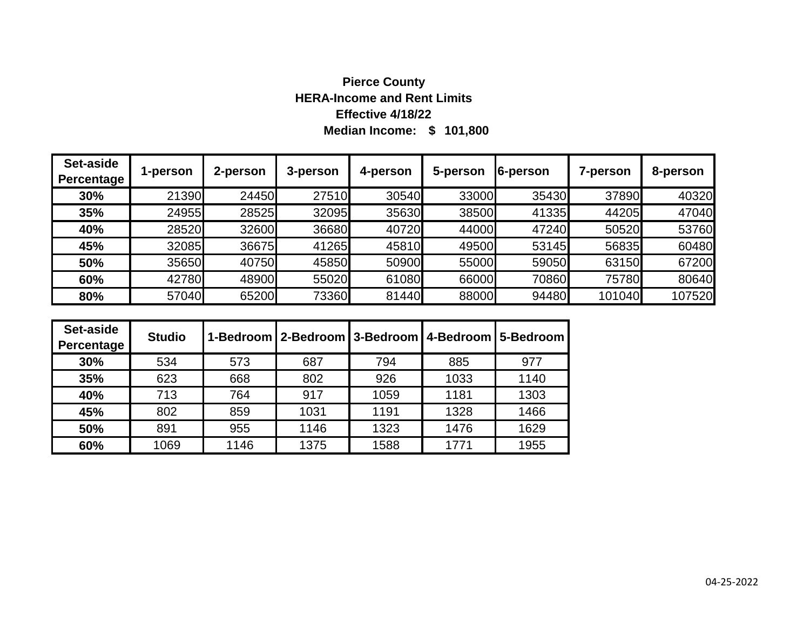# **Median Income: \$ 101,800 Pierce County HERA-Income and Rent Limits Effective 4/18/22**

| Set-aside<br>Percentage | 1-person | 2-person | 3-person | 4-person | 5-person | 6-person | 7-person | 8-person |
|-------------------------|----------|----------|----------|----------|----------|----------|----------|----------|
| 30%                     | 21390    | 24450    | 27510    | 30540    | 33000    | 35430    | 37890    | 40320    |
| 35%                     | 24955    | 28525    | 32095    | 35630    | 38500    | 41335    | 44205    | 47040    |
| 40%                     | 28520    | 32600    | 36680    | 40720    | 44000    | 47240    | 50520    | 53760    |
| 45%                     | 32085    | 36675    | 41265    | 45810    | 49500    | 53145    | 56835    | 60480    |
| 50%                     | 35650    | 40750    | 45850    | 50900    | 55000    | 59050    | 63150    | 67200    |
| 60%                     | 42780    | 48900    | 55020    | 61080    | 66000    | 70860    | 75780    | 80640    |
| 80%                     | 57040    | 65200    | 73360    | 81440    | 88000    | 94480    | 101040   | 107520   |

| Set-aside<br>Percentage | <b>Studio</b> |      |      |      |      | 1-Bedroom   2-Bedroom   3-Bedroom   4-Bedroom   5-Bedroom |
|-------------------------|---------------|------|------|------|------|-----------------------------------------------------------|
| 30%                     | 534           | 573  | 687  | 794  | 885  | 977                                                       |
| 35%                     | 623           | 668  | 802  | 926  | 1033 | 1140                                                      |
| 40%                     | 713           | 764  | 917  | 1059 | 1181 | 1303                                                      |
| 45%                     | 802           | 859  | 1031 | 1191 | 1328 | 1466                                                      |
| 50%                     | 891           | 955  | 1146 | 1323 | 1476 | 1629                                                      |
| 60%                     | 1069          | 1146 | 1375 | 1588 | 1771 | 1955                                                      |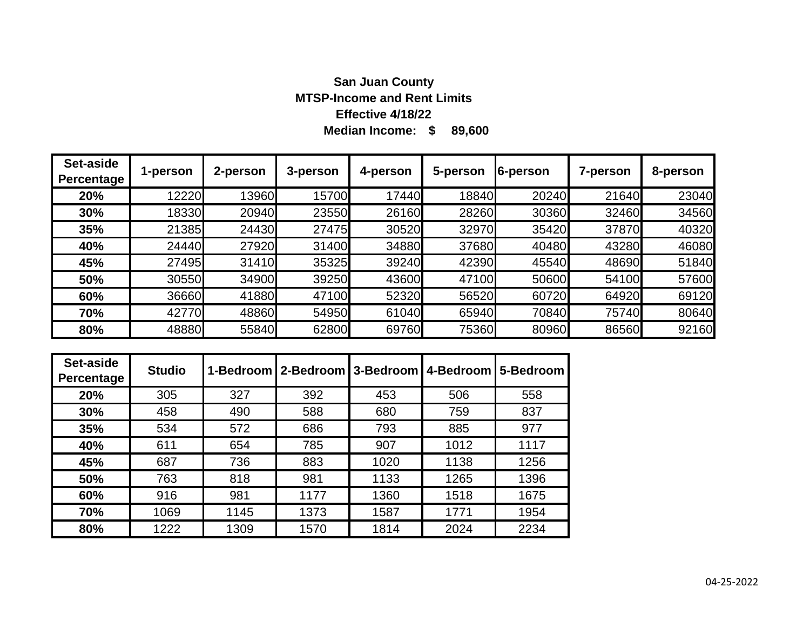# **Median Income: \$ 89,600 San Juan County MTSP-Income and Rent Limits Effective 4/18/22**

| Set-aside<br>Percentage | 1-person | 2-person | 3-person | 4-person | 5-person | 6-person | 7-person | 8-person |
|-------------------------|----------|----------|----------|----------|----------|----------|----------|----------|
| 20%                     | 12220    | 13960    | 15700    | 17440    | 18840    | 20240    | 21640    | 23040    |
| 30%                     | 18330    | 20940    | 23550    | 26160    | 28260    | 30360    | 32460    | 34560    |
| 35%                     | 21385    | 24430    | 27475    | 30520    | 32970    | 35420    | 37870    | 40320    |
| 40%                     | 24440    | 27920    | 31400    | 34880    | 37680    | 40480    | 43280    | 46080    |
| 45%                     | 27495    | 31410    | 35325    | 39240    | 42390    | 45540    | 48690    | 51840    |
| 50%                     | 30550    | 34900    | 39250    | 43600    | 47100    | 50600    | 54100    | 57600    |
| 60%                     | 36660    | 41880    | 47100    | 52320    | 56520    | 60720    | 64920    | 69120    |
| 70%                     | 42770    | 48860    | 54950    | 61040    | 65940    | 70840    | 75740    | 80640    |
| 80%                     | 48880    | 55840    | 62800    | 69760    | 75360    | 80960    | 86560    | 92160    |

| Set-aside<br>Percentage | <b>Studio</b> |      | 1-Bedroom   2-Bedroom   3-Bedroom   4-Bedroom |      |      | 5-Bedroom |
|-------------------------|---------------|------|-----------------------------------------------|------|------|-----------|
| 20%                     | 305           | 327  | 392                                           | 453  | 506  | 558       |
| 30%                     | 458           | 490  | 588                                           | 680  | 759  | 837       |
| 35%                     | 534           | 572  | 686                                           | 793  | 885  | 977       |
| 40%                     | 611           | 654  | 785                                           | 907  | 1012 | 1117      |
| 45%                     | 687           | 736  | 883                                           | 1020 | 1138 | 1256      |
| 50%                     | 763           | 818  | 981                                           | 1133 | 1265 | 1396      |
| 60%                     | 916           | 981  | 1177                                          | 1360 | 1518 | 1675      |
| 70%                     | 1069          | 1145 | 1373                                          | 1587 | 1771 | 1954      |
| 80%                     | 1222          | 1309 | 1570                                          | 1814 | 2024 | 2234      |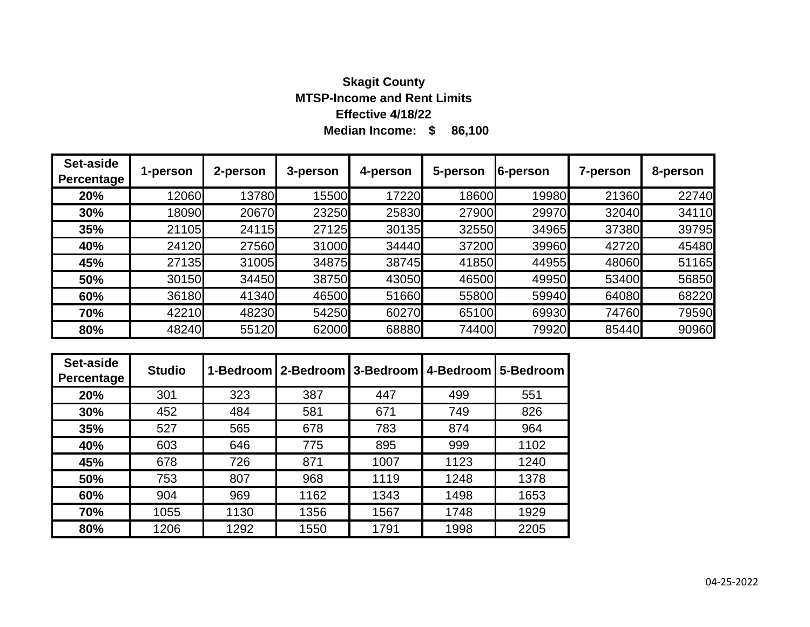# **Median Income: \$ 86,100 Skagit County MTSP-Income and Rent Limits Effective 4/18/22**

| Set-aside<br>Percentage | 1-person | 2-person | 3-person | 4-person | 5-person | 6-person | 7-person | 8-person |
|-------------------------|----------|----------|----------|----------|----------|----------|----------|----------|
| 20%                     | 12060    | 13780    | 15500    | 17220    | 18600    | 19980    | 21360    | 22740    |
| 30%                     | 18090    | 20670    | 23250    | 25830    | 27900    | 29970    | 32040    | 34110    |
| 35%                     | 21105    | 24115    | 27125    | 30135    | 32550    | 34965    | 37380    | 39795    |
| 40%                     | 24120    | 27560    | 31000    | 34440    | 37200    | 39960    | 42720    | 45480    |
| 45%                     | 27135    | 31005    | 34875    | 38745    | 41850    | 44955    | 48060    | 51165    |
| 50%                     | 30150    | 34450    | 38750    | 43050    | 46500    | 49950    | 53400    | 56850    |
| 60%                     | 36180    | 41340    | 46500    | 51660    | 55800    | 59940    | 64080    | 68220    |
| 70%                     | 42210    | 48230    | 54250    | 60270    | 65100    | 69930    | 74760    | 79590    |
| 80%                     | 48240    | 55120    | 62000    | 68880    | 74400    | 79920    | 85440    | 90960    |

| Set-aside<br>Percentage | <b>Studio</b> |      | 1-Bedroom   2-Bedroom   3-Bedroom |      | 4-Bedroom | 5-Bedroom |
|-------------------------|---------------|------|-----------------------------------|------|-----------|-----------|
| 20%                     | 301           | 323  | 387                               | 447  | 499       | 551       |
| 30%                     | 452           | 484  | 581                               | 671  | 749       | 826       |
| 35%                     | 527           | 565  | 678                               | 783  | 874       | 964       |
| 40%                     | 603           | 646  | 775                               | 895  | 999       | 1102      |
| 45%                     | 678           | 726  | 871                               | 1007 | 1123      | 1240      |
| 50%                     | 753           | 807  | 968                               | 1119 | 1248      | 1378      |
| 60%                     | 904           | 969  | 1162                              | 1343 | 1498      | 1653      |
| 70%                     | 1055          | 1130 | 1356                              | 1567 | 1748      | 1929      |
| 80%                     | 1206          | 1292 | 1550                              | 1791 | 1998      | 2205      |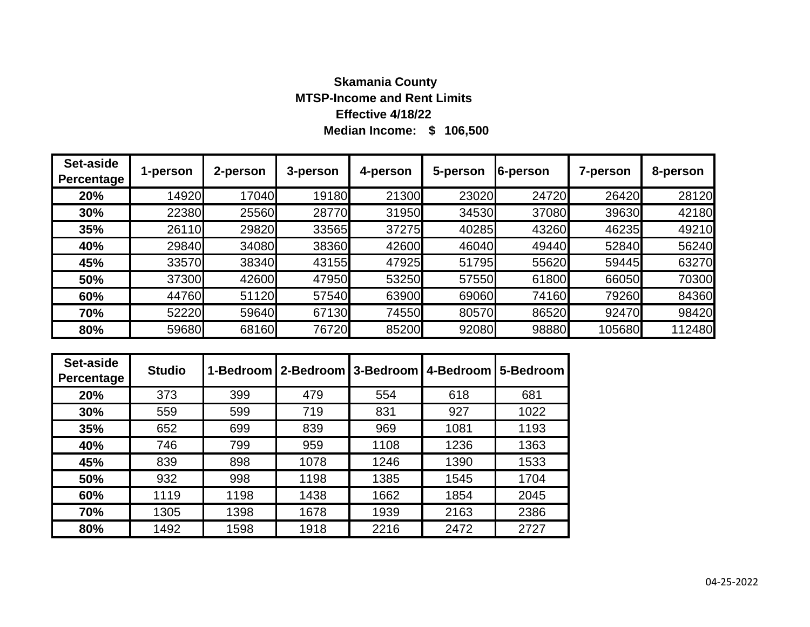# **Median Income: \$ 106,500 Skamania County MTSP-Income and Rent Limits Effective 4/18/22**

| Set-aside<br><b>Percentage</b> | 1-person | 2-person | 3-person | 4-person | 5-person | 6-person | 7-person | 8-person |
|--------------------------------|----------|----------|----------|----------|----------|----------|----------|----------|
| 20%                            | 14920    | 17040    | 19180    | 21300    | 23020    | 24720    | 26420    | 28120    |
| 30%                            | 22380    | 25560    | 28770    | 31950    | 34530    | 37080    | 39630    | 42180    |
| 35%                            | 26110    | 29820    | 33565    | 37275    | 40285    | 43260    | 46235    | 49210    |
| 40%                            | 29840    | 34080    | 38360    | 42600    | 46040    | 49440    | 52840    | 56240    |
| 45%                            | 33570    | 38340    | 43155    | 47925    | 51795    | 55620    | 59445    | 63270    |
| 50%                            | 37300    | 42600    | 47950    | 53250    | 57550    | 61800    | 66050    | 70300    |
| 60%                            | 44760    | 51120    | 57540    | 63900    | 69060    | 74160    | 79260    | 84360    |
| 70%                            | 52220    | 59640    | 67130    | 74550    | 80570    | 86520    | 92470    | 98420    |
| 80%                            | 59680    | 68160    | 76720    | 85200    | 92080    | 98880    | 105680   | 112480   |

| Set-aside<br>Percentage | <b>Studio</b> | 1-Bedroom | 2-Bedroom 3-Bedroom 4-Bedroom |      |      | 5-Bedroom |
|-------------------------|---------------|-----------|-------------------------------|------|------|-----------|
| 20%                     | 373           | 399       | 479                           | 554  | 618  | 681       |
| 30%                     | 559           | 599       | 719                           | 831  | 927  | 1022      |
| 35%                     | 652           | 699       | 839                           | 969  | 1081 | 1193      |
| 40%                     | 746           | 799       | 959                           | 1108 | 1236 | 1363      |
| 45%                     | 839           | 898       | 1078                          | 1246 | 1390 | 1533      |
| 50%                     | 932           | 998       | 1198                          | 1385 | 1545 | 1704      |
| 60%                     | 1119          | 1198      | 1438                          | 1662 | 1854 | 2045      |
| 70%                     | 1305          | 1398      | 1678                          | 1939 | 2163 | 2386      |
| 80%                     | 1492          | 1598      | 1918                          | 2216 | 2472 | 2727      |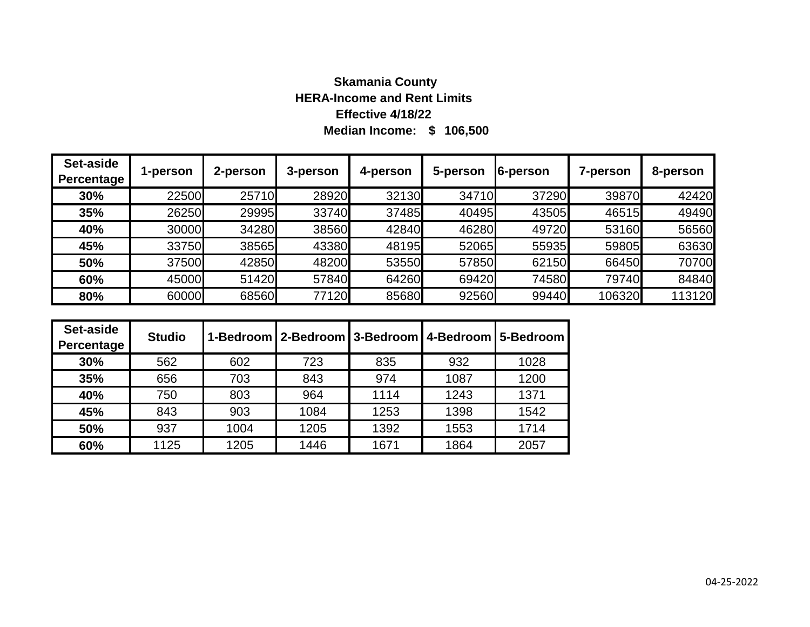# **Median Income: \$ 106,500 Skamania County HERA-Income and Rent Limits Effective 4/18/22**

| Set-aside<br>Percentage | 1-person | 2-person | 3-person | 4-person | 5-person | 6-person | 7-person | 8-person |
|-------------------------|----------|----------|----------|----------|----------|----------|----------|----------|
| 30%                     | 22500    | 25710    | 28920    | 32130    | 34710    | 37290    | 39870    | 42420    |
| 35%                     | 26250    | 29995    | 33740    | 37485    | 40495    | 43505    | 46515    | 49490    |
| 40%                     | 30000    | 34280    | 38560    | 42840    | 46280    | 49720    | 53160    | 56560    |
| 45%                     | 33750    | 38565    | 43380    | 48195    | 52065    | 55935    | 59805    | 63630    |
| 50%                     | 37500    | 42850    | 48200    | 53550    | 57850    | 62150    | 66450    | 70700    |
| 60%                     | 45000    | 51420    | 57840    | 64260    | 69420    | 74580    | 79740    | 84840    |
| 80%                     | 60000    | 68560    | 77120    | 85680    | 92560    | 99440    | 106320   | 113120   |

| Set-aside<br>Percentage | <b>Studio</b> |      |      |      |      | 1-Bedroom   2-Bedroom   3-Bedroom   4-Bedroom   5-Bedroom |
|-------------------------|---------------|------|------|------|------|-----------------------------------------------------------|
| 30%                     | 562           | 602  | 723  | 835  | 932  | 1028                                                      |
| 35%                     | 656           | 703  | 843  | 974  | 1087 | 1200                                                      |
| 40%                     | 750           | 803  | 964  | 1114 | 1243 | 1371                                                      |
| 45%                     | 843           | 903  | 1084 | 1253 | 1398 | 1542                                                      |
| 50%                     | 937           | 1004 | 1205 | 1392 | 1553 | 1714                                                      |
| 60%                     | 1125          | 1205 | 1446 | 1671 | 1864 | 2057                                                      |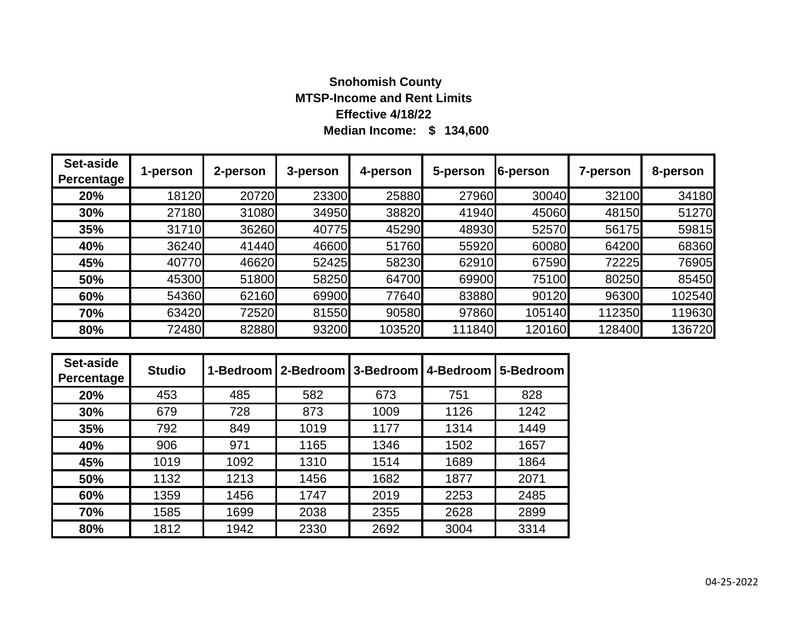# **Median Income: \$ 134,600 Snohomish County MTSP-Income and Rent Limits Effective 4/18/22**

| Set-aside<br><b>Percentage</b> | 1-person | 2-person | 3-person | 4-person | 5-person | 6-person | 7-person | 8-person |
|--------------------------------|----------|----------|----------|----------|----------|----------|----------|----------|
| 20%                            | 18120    | 20720    | 23300    | 25880    | 27960    | 30040    | 32100    | 34180    |
| 30%                            | 27180    | 31080    | 34950    | 38820    | 41940    | 45060    | 48150    | 51270    |
| 35%                            | 31710    | 36260    | 40775    | 45290    | 48930    | 52570    | 56175    | 59815    |
| 40%                            | 36240    | 41440    | 46600    | 51760    | 55920    | 60080    | 64200    | 68360    |
| 45%                            | 40770    | 46620    | 52425    | 58230    | 62910    | 67590    | 72225    | 76905    |
| 50%                            | 45300    | 51800    | 58250    | 64700    | 69900    | 75100    | 80250    | 85450    |
| 60%                            | 54360    | 62160    | 69900    | 77640    | 83880    | 90120    | 96300    | 102540   |
| 70%                            | 63420    | 72520    | 81550    | 90580    | 97860    | 105140   | 112350   | 119630   |
| 80%                            | 72480    | 82880    | 93200    | 103520   | 111840   | 120160   | 128400   | 136720   |

| Set-aside<br>Percentage | <b>Studio</b> |      | 1-Bedroom   2-Bedroom   3-Bedroom |      | 4-Bedroom | 5-Bedroom |
|-------------------------|---------------|------|-----------------------------------|------|-----------|-----------|
| 20%                     | 453           | 485  | 582                               | 673  | 751       | 828       |
| 30%                     | 679           | 728  | 873                               | 1009 | 1126      | 1242      |
| 35%                     | 792           | 849  | 1019                              | 1177 | 1314      | 1449      |
| 40%                     | 906           | 971  | 1165                              | 1346 | 1502      | 1657      |
| 45%                     | 1019          | 1092 | 1310                              | 1514 | 1689      | 1864      |
| 50%                     | 1132          | 1213 | 1456                              | 1682 | 1877      | 2071      |
| 60%                     | 1359          | 1456 | 1747                              | 2019 | 2253      | 2485      |
| 70%                     | 1585          | 1699 | 2038                              | 2355 | 2628      | 2899      |
| 80%                     | 1812          | 1942 | 2330                              | 2692 | 3004      | 3314      |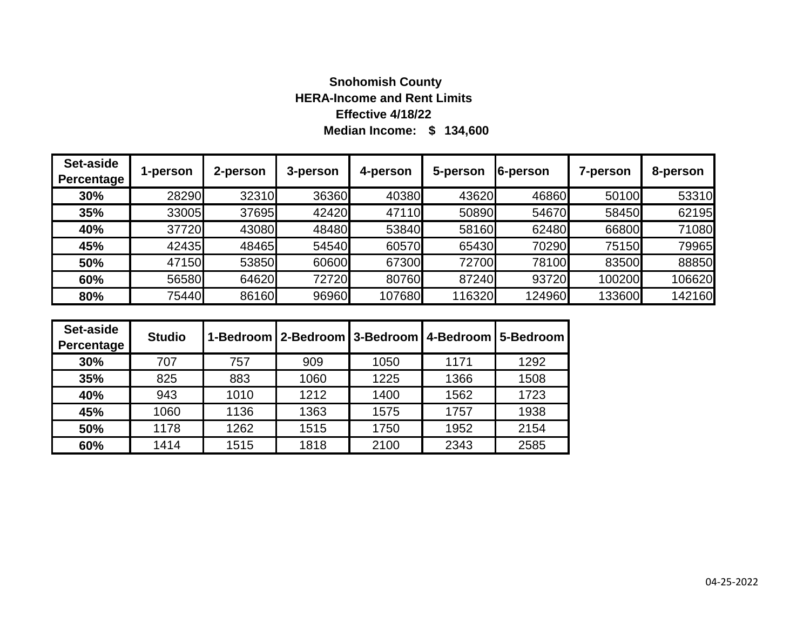# **Median Income: \$ 134,600 Snohomish County HERA-Income and Rent Limits Effective 4/18/22**

| Set-aside<br>Percentage | 1-person | 2-person | 3-person | 4-person | 5-person | 6-person | 7-person | 8-person |
|-------------------------|----------|----------|----------|----------|----------|----------|----------|----------|
| 30%                     | 28290    | 32310    | 36360    | 40380    | 43620    | 46860    | 50100    | 53310    |
| 35%                     | 33005    | 37695    | 42420    | 47110    | 50890    | 54670    | 58450    | 62195    |
| 40%                     | 37720    | 43080    | 48480    | 53840    | 58160    | 62480    | 66800    | 71080    |
| 45%                     | 42435    | 48465    | 54540    | 60570    | 65430    | 70290    | 75150    | 79965    |
| 50%                     | 47150    | 53850    | 60600    | 67300    | 72700    | 78100    | 83500    | 88850    |
| 60%                     | 56580    | 64620    | 72720    | 80760    | 87240    | 93720    | 100200   | 106620   |
| 80%                     | 75440    | 86160    | 96960    | 107680   | 116320   | 124960   | 133600   | 142160   |

| Set-aside<br>Percentage | <b>Studio</b> |      |      |      | 1-Bedroom   2-Bedroom   3-Bedroom   4-Bedroom   5-Bedroom |      |
|-------------------------|---------------|------|------|------|-----------------------------------------------------------|------|
| 30%                     | 707           | 757  | 909  | 1050 | 1171                                                      | 1292 |
| 35%                     | 825           | 883  | 1060 | 1225 | 1366                                                      | 1508 |
| 40%                     | 943           | 1010 | 1212 | 1400 | 1562                                                      | 1723 |
| 45%                     | 1060          | 1136 | 1363 | 1575 | 1757                                                      | 1938 |
| 50%                     | 1178          | 1262 | 1515 | 1750 | 1952                                                      | 2154 |
| 60%                     | 1414          | 1515 | 1818 | 2100 | 2343                                                      | 2585 |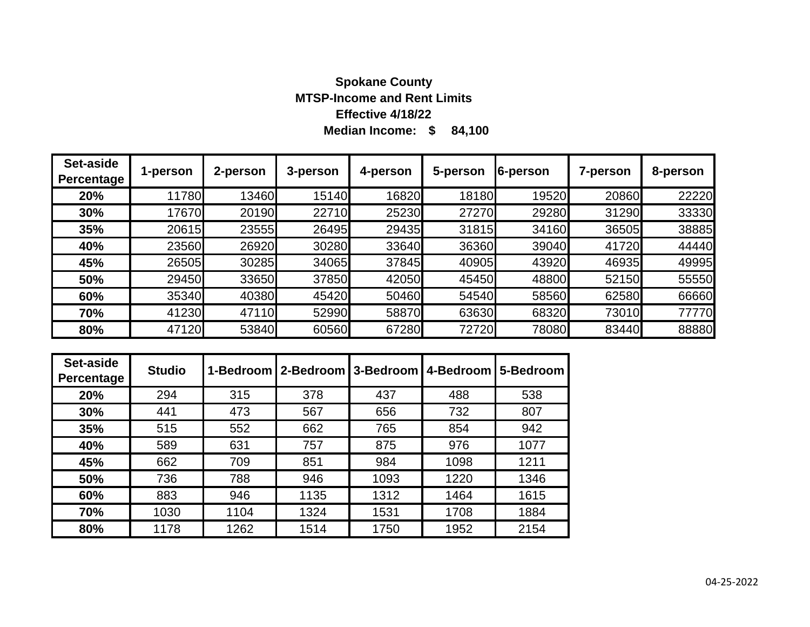# **Median Income: \$ 84,100 Spokane County MTSP-Income and Rent Limits Effective 4/18/22**

| Set-aside<br><b>Percentage</b> | 1-person | 2-person | 3-person | 4-person | 5-person | 6-person | 7-person | 8-person |
|--------------------------------|----------|----------|----------|----------|----------|----------|----------|----------|
| 20%                            | 11780    | 13460    | 15140    | 16820    | 18180    | 19520    | 20860    | 22220    |
| 30%                            | 17670    | 20190    | 22710    | 25230    | 27270    | 29280    | 31290    | 33330    |
| 35%                            | 20615    | 23555    | 26495    | 29435    | 31815    | 34160    | 36505    | 38885    |
| 40%                            | 23560    | 26920    | 30280    | 33640    | 36360    | 39040    | 41720    | 44440    |
| 45%                            | 26505    | 30285    | 34065    | 37845    | 40905    | 43920    | 46935    | 49995    |
| 50%                            | 29450    | 33650    | 37850    | 42050    | 45450    | 48800    | 52150    | 55550    |
| 60%                            | 35340    | 40380    | 45420    | 50460    | 54540    | 58560    | 62580    | 66660    |
| 70%                            | 41230    | 47110    | 52990    | 58870    | 63630    | 68320    | 73010    | 77770    |
| 80%                            | 47120    | 53840    | 60560    | 67280    | 72720    | 78080    | 83440    | 88880    |

| Set-aside<br>Percentage | <b>Studio</b> |      | 1-Bedroom   2-Bedroom   3-Bedroom   4-Bedroom |      |      | 5-Bedroom |
|-------------------------|---------------|------|-----------------------------------------------|------|------|-----------|
| 20%                     | 294           | 315  | 378                                           | 437  | 488  | 538       |
| 30%                     | 441           | 473  | 567                                           | 656  | 732  | 807       |
| 35%                     | 515           | 552  | 662                                           | 765  | 854  | 942       |
| 40%                     | 589           | 631  | 757                                           | 875  | 976  | 1077      |
| 45%                     | 662           | 709  | 851                                           | 984  | 1098 | 1211      |
| 50%                     | 736           | 788  | 946                                           | 1093 | 1220 | 1346      |
| 60%                     | 883           | 946  | 1135                                          | 1312 | 1464 | 1615      |
| 70%                     | 1030          | 1104 | 1324                                          | 1531 | 1708 | 1884      |
| 80%                     | 1178          | 1262 | 1514                                          | 1750 | 1952 | 2154      |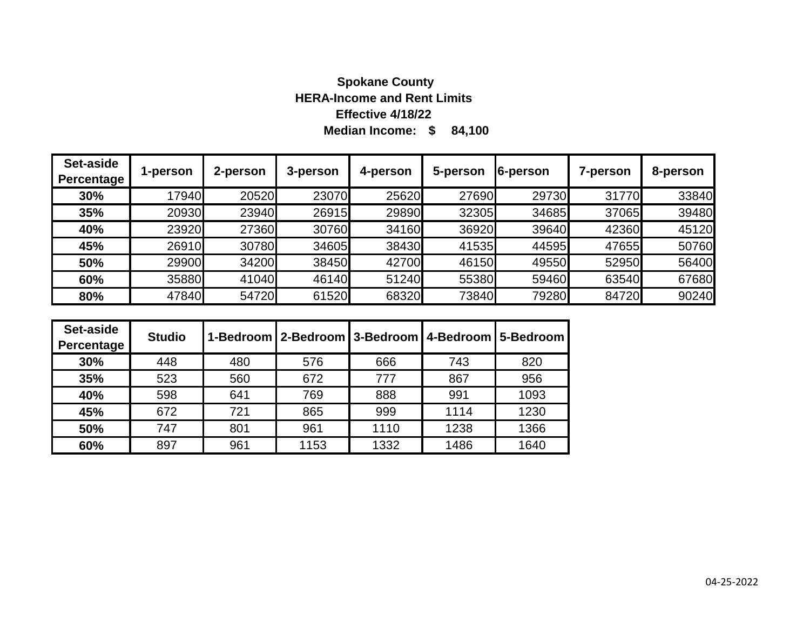# **Median Income: \$ 84,100 Spokane County HERA-Income and Rent Limits Effective 4/18/22**

| Set-aside<br>3-person<br>5-person<br>6-person<br>2-person<br>8-person<br>4-person<br>7-person<br>1-person<br>Percentage |       |
|-------------------------------------------------------------------------------------------------------------------------|-------|
|                                                                                                                         |       |
| 17940<br>29730<br>31770<br>20520<br>23070<br>25620<br>27690<br>30%                                                      | 33840 |
| 20930<br>23940<br>34685<br>26915<br>29890<br>32305<br>37065<br>35%                                                      | 39480 |
| 23920<br>27360<br>34160<br>39640<br>42360<br>30760<br>36920<br>40%                                                      | 45120 |
| 26910<br>30780<br>34605<br>44595<br>38430<br>41535<br>47655<br>45%                                                      | 50760 |
| 29900<br>34200<br>38450<br>49550<br>42700<br>46150<br>52950<br>50%                                                      | 56400 |
| 35880<br>63540<br>41040<br>46140<br>51240<br>59460<br>55380<br>60%                                                      | 67680 |
| 47840<br>79280<br>54720<br>61520<br>68320<br>73840<br>84720<br>80%                                                      | 90240 |

| Set-aside<br>Percentage | <b>Studio</b> |     | 1-Bedroom   2-Bedroom   3-Bedroom   4-Bedroom   5-Bedroom |      |      |      |
|-------------------------|---------------|-----|-----------------------------------------------------------|------|------|------|
| 30%                     | 448           | 480 | 576                                                       | 666  | 743  | 820  |
| 35%                     | 523           | 560 | 672                                                       | 777  | 867  | 956  |
| 40%                     | 598           | 641 | 769                                                       | 888  | 991  | 1093 |
| 45%                     | 672           | 721 | 865                                                       | 999  | 1114 | 1230 |
| 50%                     | 747           | 801 | 961                                                       | 1110 | 1238 | 1366 |
| 60%                     | 897           | 961 | 1153                                                      | 1332 | 1486 | 1640 |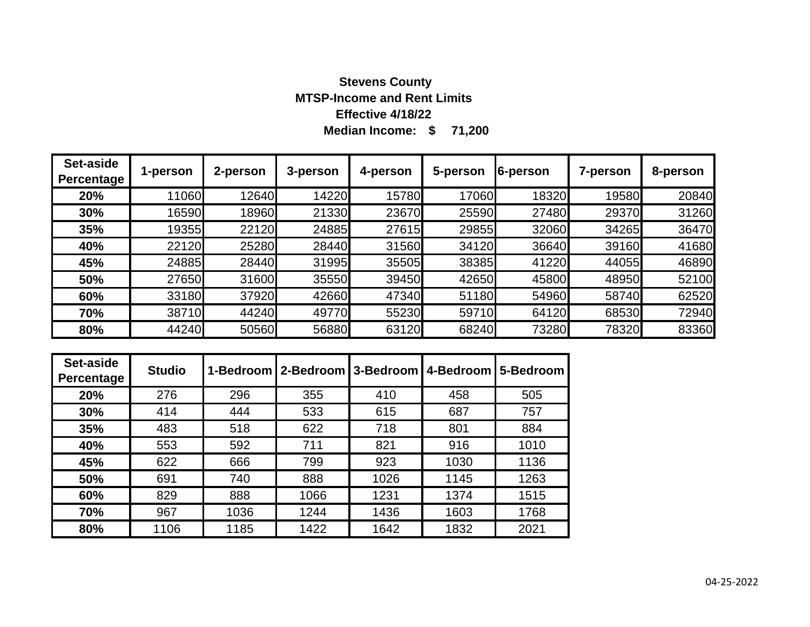# **Median Income: \$ 71,200 Stevens County MTSP-Income and Rent Limits Effective 4/18/22**

| Set-aside<br><b>Percentage</b> | 1-person | 2-person | 3-person | 4-person | 5-person | 6-person | 7-person | 8-person |
|--------------------------------|----------|----------|----------|----------|----------|----------|----------|----------|
| 20%                            | 11060    | 12640    | 14220    | 15780    | 17060    | 18320    | 19580    | 20840    |
| 30%                            | 16590    | 18960    | 21330    | 23670    | 25590    | 27480    | 29370    | 31260    |
| 35%                            | 19355    | 22120    | 24885    | 27615    | 29855    | 32060    | 34265    | 36470    |
| 40%                            | 22120    | 25280    | 28440    | 31560    | 34120    | 36640    | 39160    | 41680    |
| 45%                            | 24885    | 28440    | 31995    | 35505    | 38385    | 41220    | 44055    | 46890    |
| 50%                            | 27650    | 31600    | 35550    | 39450    | 42650    | 45800    | 48950    | 52100    |
| 60%                            | 33180    | 37920    | 42660    | 47340    | 51180    | 54960    | 58740    | 62520    |
| 70%                            | 38710    | 44240    | 49770    | 55230    | 59710    | 64120    | 68530    | 72940    |
| 80%                            | 44240    | 50560    | 56880    | 63120    | 68240    | 73280    | 78320    | 83360    |

| Set-aside<br>Percentage | <b>Studio</b> |      | 1-Bedroom   2-Bedroom   3-Bedroom   4-Bedroom |      |      | 5-Bedroom |
|-------------------------|---------------|------|-----------------------------------------------|------|------|-----------|
| 20%                     | 276           | 296  | 355                                           | 410  | 458  | 505       |
| 30%                     | 414           | 444  | 533                                           | 615  | 687  | 757       |
| 35%                     | 483           | 518  | 622                                           | 718  | 801  | 884       |
| 40%                     | 553           | 592  | 711                                           | 821  | 916  | 1010      |
| 45%                     | 622           | 666  | 799                                           | 923  | 1030 | 1136      |
| 50%                     | 691           | 740  | 888                                           | 1026 | 1145 | 1263      |
| 60%                     | 829           | 888  | 1066                                          | 1231 | 1374 | 1515      |
| 70%                     | 967           | 1036 | 1244                                          | 1436 | 1603 | 1768      |
| 80%                     | 1106          | 1185 | 1422                                          | 1642 | 1832 | 2021      |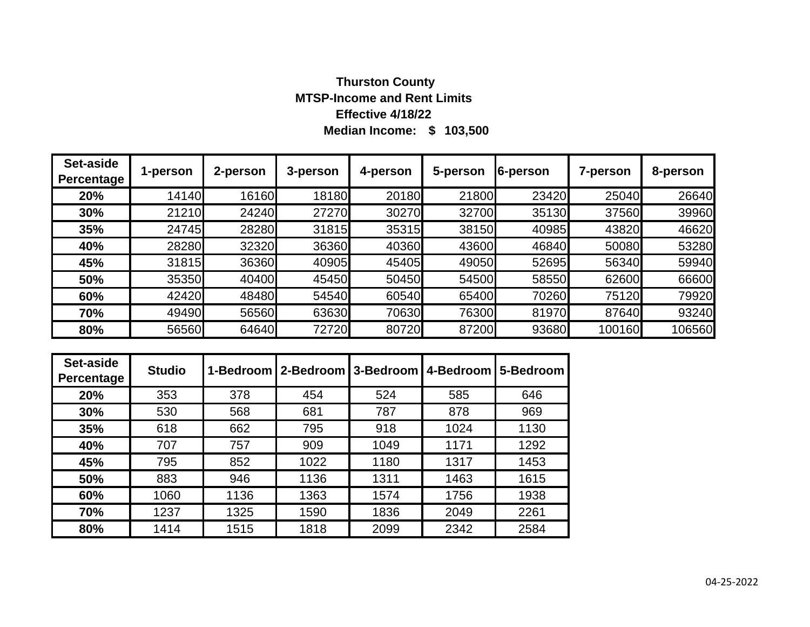# **Median Income: \$ 103,500 Thurston County MTSP-Income and Rent Limits Effective 4/18/22**

| Set-aside<br><b>Percentage</b> | 1-person | 2-person | 3-person | 4-person | 5-person | 6-person | <b>7-person</b> | 8-person |
|--------------------------------|----------|----------|----------|----------|----------|----------|-----------------|----------|
| 20%                            | 14140    | 16160    | 18180    | 20180    | 21800    | 23420    | 25040           | 26640    |
| 30%                            | 21210    | 24240    | 27270    | 30270    | 32700    | 35130    | 37560           | 39960    |
| 35%                            | 24745    | 28280    | 31815    | 35315    | 38150    | 40985    | 43820           | 46620    |
| 40%                            | 28280    | 32320    | 36360    | 40360    | 43600    | 46840    | 50080           | 53280    |
| 45%                            | 31815    | 36360    | 40905    | 45405    | 49050    | 52695    | 56340           | 59940    |
| 50%                            | 35350    | 40400    | 45450    | 50450    | 54500    | 58550    | 62600           | 66600    |
| 60%                            | 42420    | 48480    | 54540    | 60540    | 65400    | 70260    | 75120           | 79920    |
| 70%                            | 49490    | 56560    | 63630    | 70630    | 76300    | 81970    | 87640           | 93240    |
| 80%                            | 56560    | 64640    | 72720    | 80720    | 87200    | 93680    | 100160          | 106560   |

| Set-aside<br>Percentage | <b>Studio</b> |      | 1-Bedroom   2-Bedroom   3-Bedroom   4-Bedroom |      |      | 5-Bedroom |
|-------------------------|---------------|------|-----------------------------------------------|------|------|-----------|
| 20%                     | 353           | 378  | 454                                           | 524  | 585  | 646       |
| 30%                     | 530           | 568  | 681                                           | 787  | 878  | 969       |
| 35%                     | 618           | 662  | 795                                           | 918  | 1024 | 1130      |
| 40%                     | 707           | 757  | 909                                           | 1049 | 1171 | 1292      |
| 45%                     | 795           | 852  | 1022                                          | 1180 | 1317 | 1453      |
| 50%                     | 883           | 946  | 1136                                          | 1311 | 1463 | 1615      |
| 60%                     | 1060          | 1136 | 1363                                          | 1574 | 1756 | 1938      |
| 70%                     | 1237          | 1325 | 1590                                          | 1836 | 2049 | 2261      |
| 80%                     | 1414          | 1515 | 1818                                          | 2099 | 2342 | 2584      |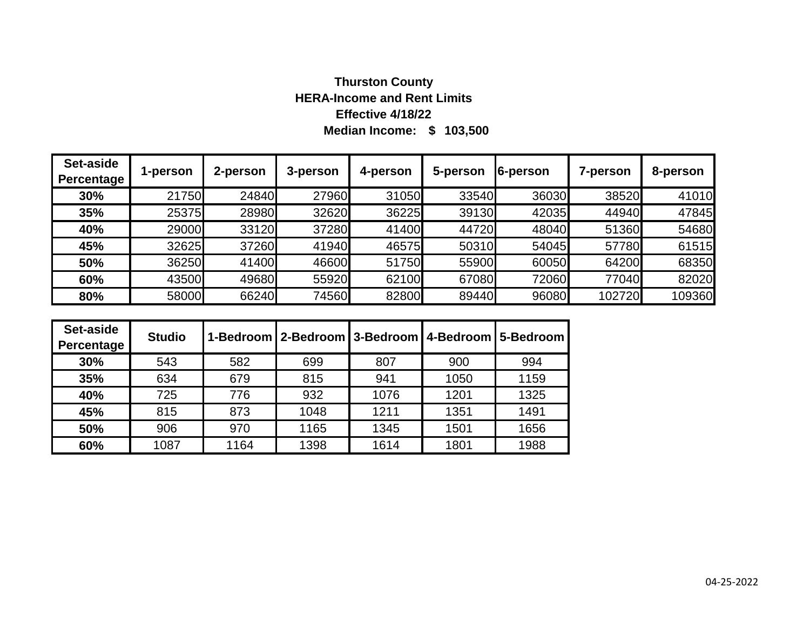# **Median Income: \$ 103,500 Thurston County HERA-Income and Rent Limits Effective 4/18/22**

| Set-aside<br>Percentage | 1-person | 2-person | 3-person | 4-person | 5-person | 6-person | 7-person | 8-person |
|-------------------------|----------|----------|----------|----------|----------|----------|----------|----------|
| 30%                     | 21750    | 24840    | 27960    | 31050    | 33540    | 36030    | 38520    | 41010    |
| 35%                     | 25375    | 28980    | 32620    | 36225    | 39130    | 42035    | 44940    | 47845    |
| 40%                     | 29000    | 33120    | 37280    | 41400    | 44720    | 48040    | 51360    | 54680    |
| 45%                     | 32625    | 37260    | 41940    | 46575    | 50310    | 54045    | 57780    | 61515    |
| 50%                     | 36250    | 41400    | 46600    | 51750    | 55900    | 60050    | 64200    | 68350    |
| 60%                     | 43500    | 49680    | 55920    | 62100    | 67080    | 72060    | 77040    | 82020    |
| 80%                     | 58000    | 66240    | 74560    | 82800    | 89440    | 96080    | 102720   | 109360   |

| Set-aside<br>Percentage | <b>Studio</b> |      |      |      |      | 1-Bedroom   2-Bedroom   3-Bedroom   4-Bedroom   5-Bedroom |
|-------------------------|---------------|------|------|------|------|-----------------------------------------------------------|
| 30%                     | 543           | 582  | 699  | 807  | 900  | 994                                                       |
| 35%                     | 634           | 679  | 815  | 941  | 1050 | 1159                                                      |
| 40%                     | 725           | 776  | 932  | 1076 | 1201 | 1325                                                      |
| 45%                     | 815           | 873  | 1048 | 1211 | 1351 | 1491                                                      |
| 50%                     | 906           | 970  | 1165 | 1345 | 1501 | 1656                                                      |
| 60%                     | 1087          | 1164 | 1398 | 1614 | 1801 | 1988                                                      |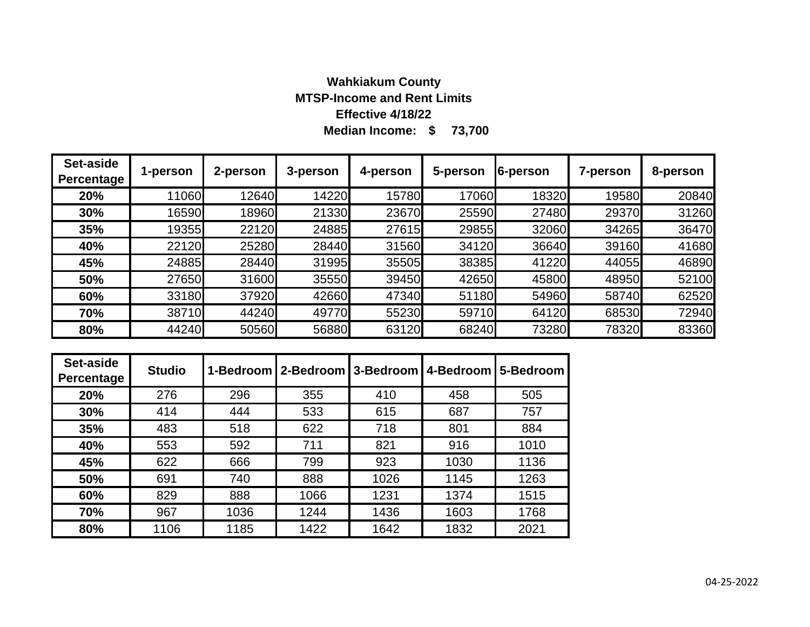### **Median Income: \$ 73,700 Wahkiakum County MTSP-Income and Rent Limits Effective 4/18/22**

| Set-aside<br><b>Percentage</b> | 1-person | 2-person | 3-person | 4-person | 5-person | 6-person | 7-person | 8-person |
|--------------------------------|----------|----------|----------|----------|----------|----------|----------|----------|
| 20%                            | 11060    | 12640    | 14220    | 15780    | 17060    | 18320    | 19580    | 20840    |
| 30%                            | 16590    | 18960    | 21330    | 23670    | 25590    | 27480    | 29370    | 31260    |
| 35%                            | 19355    | 22120    | 24885    | 27615    | 29855    | 32060    | 34265    | 36470    |
| 40%                            | 22120    | 25280    | 28440    | 31560    | 34120    | 36640    | 39160    | 41680    |
| 45%                            | 24885    | 28440    | 31995    | 35505    | 38385    | 41220    | 44055    | 46890    |
| 50%                            | 27650    | 31600    | 35550    | 39450    | 42650    | 45800    | 48950    | 52100    |
| 60%                            | 33180    | 37920    | 42660    | 47340    | 51180    | 54960    | 58740    | 62520    |
| 70%                            | 38710    | 44240    | 49770    | 55230    | 59710    | 64120    | 68530    | 72940    |
| 80%                            | 44240    | 50560    | 56880    | 63120    | 68240    | 73280    | 78320    | 83360    |

| Set-aside<br>Percentage | <b>Studio</b> |      | 1-Bedroom   2-Bedroom   3-Bedroom |      | 4-Bedroom | 5-Bedroom |
|-------------------------|---------------|------|-----------------------------------|------|-----------|-----------|
| 20%                     | 276           | 296  | 355                               | 410  | 458       | 505       |
| 30%                     | 414           | 444  | 533                               | 615  | 687       | 757       |
| 35%                     | 483           | 518  | 622                               | 718  | 801       | 884       |
| 40%                     | 553           | 592  | 711                               | 821  | 916       | 1010      |
| 45%                     | 622           | 666  | 799                               | 923  | 1030      | 1136      |
| 50%                     | 691           | 740  | 888                               | 1026 | 1145      | 1263      |
| 60%                     | 829           | 888  | 1066                              | 1231 | 1374      | 1515      |
| 70%                     | 967           | 1036 | 1244                              | 1436 | 1603      | 1768      |
| 80%                     | 1106          | 1185 | 1422                              | 1642 | 1832      | 2021      |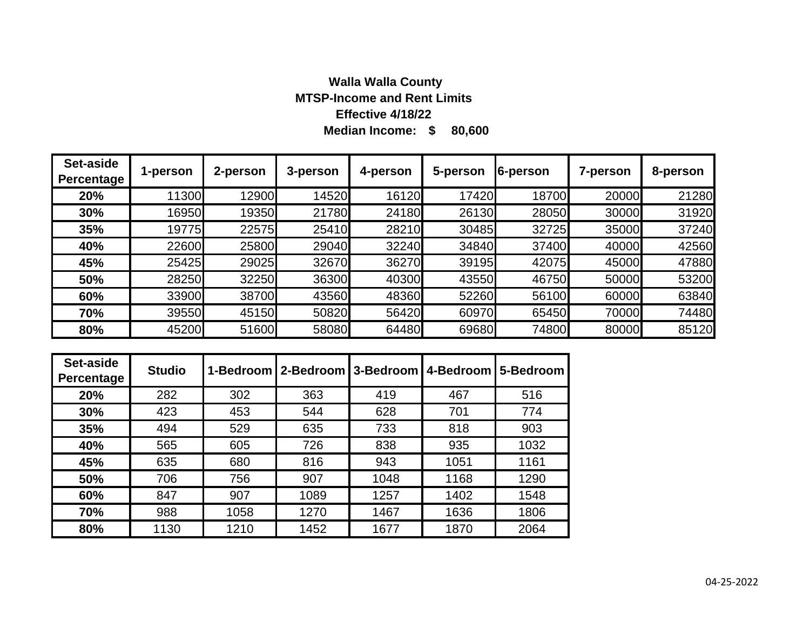# **Median Income: \$ 80,600 Walla Walla County MTSP-Income and Rent Limits Effective 4/18/22**

| Set-aside<br>Percentage | 1-person | 2-person | 3-person | 4-person | 5-person | 6-person | 7-person | 8-person |
|-------------------------|----------|----------|----------|----------|----------|----------|----------|----------|
| 20%                     | 11300    | 12900    | 14520    | 16120    | 17420    | 18700    | 20000    | 21280    |
| 30%                     | 16950    | 19350    | 21780    | 24180    | 26130    | 28050    | 30000    | 31920    |
| 35%                     | 19775    | 22575    | 25410    | 28210    | 30485    | 32725    | 35000    | 37240    |
| 40%                     | 22600    | 25800    | 29040    | 32240    | 34840    | 37400    | 40000    | 42560    |
| 45%                     | 25425    | 29025    | 32670    | 36270    | 39195    | 42075    | 45000    | 47880    |
| 50%                     | 28250    | 32250    | 36300    | 40300    | 43550    | 46750    | 50000    | 53200    |
| 60%                     | 33900    | 38700    | 43560    | 48360    | 52260    | 56100    | 60000    | 63840    |
| 70%                     | 39550    | 45150    | 50820    | 56420    | 60970    | 65450    | 70000    | 74480    |
| 80%                     | 45200    | 51600    | 58080    | 64480    | 69680    | 74800    | 80000    | 85120    |

| Set-aside<br>Percentage | <b>Studio</b> | 1-Bedroom | 12-Bedroom | 3-Bedroom | 4-Bedroom | 5-Bedroom |
|-------------------------|---------------|-----------|------------|-----------|-----------|-----------|
| 20%                     | 282           | 302       | 363        | 419       | 467       | 516       |
| 30%                     | 423           | 453       | 544        | 628       | 701       | 774       |
| 35%                     | 494           | 529       | 635        | 733       | 818       | 903       |
| 40%                     | 565           | 605       | 726        | 838       | 935       | 1032      |
| 45%                     | 635           | 680       | 816        | 943       | 1051      | 1161      |
| 50%                     | 706           | 756       | 907        | 1048      | 1168      | 1290      |
| 60%                     | 847           | 907       | 1089       | 1257      | 1402      | 1548      |
| 70%                     | 988           | 1058      | 1270       | 1467      | 1636      | 1806      |
| 80%                     | 1130          | 1210      | 1452       | 1677      | 1870      | 2064      |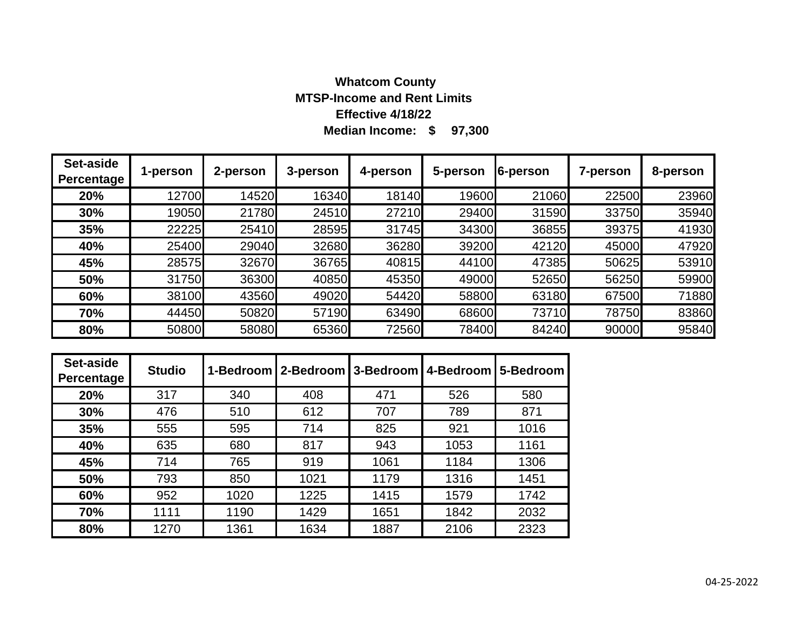# **Median Income: \$ 97,300 Whatcom County MTSP-Income and Rent Limits Effective 4/18/22**

| Set-aside<br>Percentage | 1-person | 2-person | 3-person | 4-person | 5-person | 6-person | 7-person | 8-person |
|-------------------------|----------|----------|----------|----------|----------|----------|----------|----------|
| 20%                     | 12700    | 14520    | 16340    | 18140    | 19600    | 21060    | 22500    | 23960    |
| 30%                     | 19050    | 21780    | 24510    | 27210    | 29400    | 31590    | 33750    | 35940    |
| 35%                     | 22225    | 25410    | 28595    | 31745    | 34300    | 36855    | 39375    | 41930    |
| 40%                     | 25400    | 29040    | 32680    | 36280    | 39200    | 42120    | 45000    | 47920    |
| 45%                     | 28575    | 32670    | 36765    | 40815    | 44100    | 47385    | 50625    | 53910    |
| 50%                     | 31750    | 36300    | 40850    | 45350    | 49000    | 52650    | 56250    | 59900    |
| 60%                     | 38100    | 43560    | 49020    | 54420    | 58800    | 63180    | 67500    | 71880    |
| 70%                     | 44450    | 50820    | 57190    | 63490    | 68600    | 73710    | 78750    | 83860    |
| 80%                     | 50800    | 58080    | 65360    | 72560    | 78400    | 84240    | 90000    | 95840    |

| Set-aside<br>Percentage | <b>Studio</b> |      | 1-Bedroom 2-Bedroom 3-Bedroom |      | 4-Bedroom | 5-Bedroom |
|-------------------------|---------------|------|-------------------------------|------|-----------|-----------|
| 20%                     | 317           | 340  | 408                           | 471  | 526       | 580       |
| 30%                     | 476           | 510  | 612                           | 707  | 789       | 871       |
| 35%                     | 555           | 595  | 714                           | 825  | 921       | 1016      |
| 40%                     | 635           | 680  | 817                           | 943  | 1053      | 1161      |
| 45%                     | 714           | 765  | 919                           | 1061 | 1184      | 1306      |
| 50%                     | 793           | 850  | 1021                          | 1179 | 1316      | 1451      |
| 60%                     | 952           | 1020 | 1225                          | 1415 | 1579      | 1742      |
| 70%                     | 1111          | 1190 | 1429                          | 1651 | 1842      | 2032      |
| 80%                     | 1270          | 1361 | 1634                          | 1887 | 2106      | 2323      |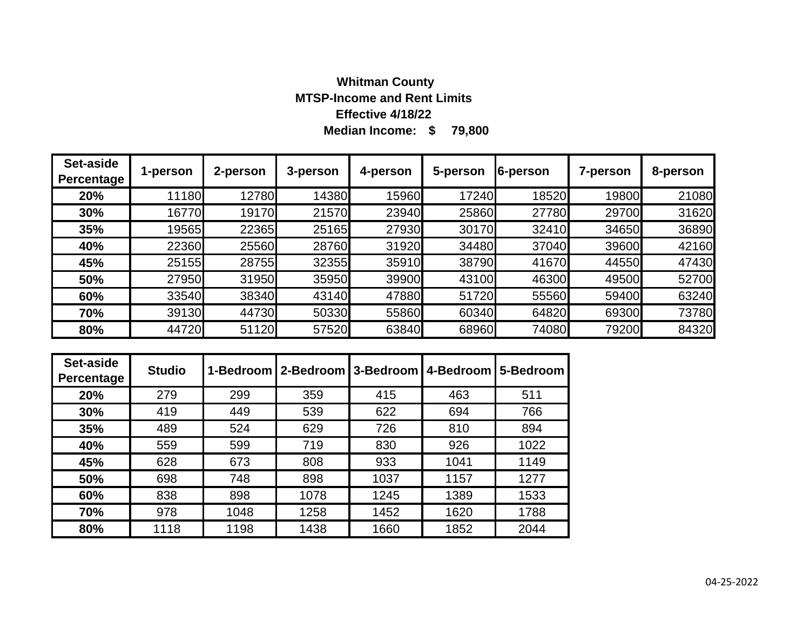# **Median Income: \$ 79,800 Whitman County MTSP-Income and Rent Limits Effective 4/18/22**

| Set-aside<br>Percentage | 1-person | 2-person | 3-person | 4-person | 5-person | 6-person | 7-person | 8-person |
|-------------------------|----------|----------|----------|----------|----------|----------|----------|----------|
| 20%                     | 11180    | 12780    | 14380    | 15960    | 17240    | 18520    | 19800    | 21080    |
| 30%                     | 16770    | 19170    | 21570    | 23940    | 25860    | 27780    | 29700    | 31620    |
| 35%                     | 19565    | 22365    | 25165    | 27930    | 30170    | 32410    | 34650    | 36890    |
| 40%                     | 22360    | 25560    | 28760    | 31920    | 34480    | 37040    | 39600    | 42160    |
| 45%                     | 25155    | 28755    | 32355    | 35910    | 38790    | 41670    | 44550    | 47430    |
| 50%                     | 27950    | 31950    | 35950    | 39900    | 43100    | 46300    | 49500    | 52700    |
| 60%                     | 33540    | 38340    | 43140    | 47880    | 51720    | 55560    | 59400    | 63240    |
| 70%                     | 39130    | 44730    | 50330    | 55860    | 60340    | 64820    | 69300    | 73780    |
| 80%                     | 44720    | 51120    | 57520    | 63840    | 68960    | 74080    | 79200    | 84320    |

| Set-aside<br>Percentage | <b>Studio</b> |      | 1-Bedroom   2-Bedroom   3-Bedroom |      | 4-Bedroom | 5-Bedroom |
|-------------------------|---------------|------|-----------------------------------|------|-----------|-----------|
| 20%                     | 279           | 299  | 359                               | 415  | 463       | 511       |
| 30%                     | 419           | 449  | 539                               | 622  | 694       | 766       |
| 35%                     | 489           | 524  | 629                               | 726  | 810       | 894       |
| 40%                     | 559           | 599  | 719                               | 830  | 926       | 1022      |
| 45%                     | 628           | 673  | 808                               | 933  | 1041      | 1149      |
| 50%                     | 698           | 748  | 898                               | 1037 | 1157      | 1277      |
| 60%                     | 838           | 898  | 1078                              | 1245 | 1389      | 1533      |
| 70%                     | 978           | 1048 | 1258                              | 1452 | 1620      | 1788      |
| 80%                     | 1118          | 1198 | 1438                              | 1660 | 1852      | 2044      |